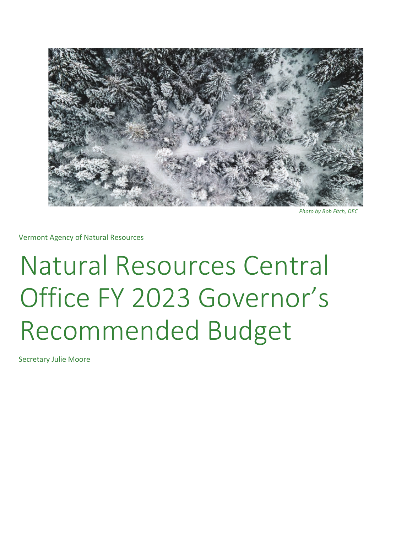

*Photo by Bob Fitch, DEC* 

Vermont Agency of Natural Resources

# Natural Resources Central Office FY 2023 Governor's Recommended Budget

Secretary Julie Moore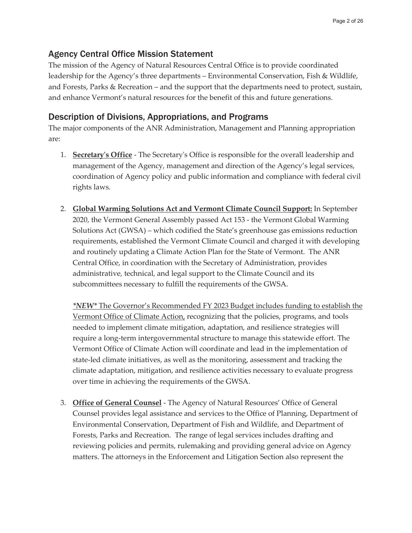## Agency Central Office Mission Statement

The mission of the Agency of Natural Resources Central Office is to provide coordinated leadership for the Agency's three departments – Environmental Conservation, Fish & Wildlife, and Forests, Parks & Recreation – and the support that the departments need to protect, sustain, and enhance Vermont's natural resources for the benefit of this and future generations.

## Description of Divisions, Appropriations, and Programs

The major components of the ANR Administration, Management and Planning appropriation are:

- 1. **Secretary's Office** The Secretary's Office is responsible for the overall leadership and management of the Agency, management and direction of the Agency's legal services, coordination of Agency policy and public information and compliance with federal civil rights laws.
- 2. **Global Warming Solutions Act and Vermont Climate Council Support:** In September 2020, the Vermont General Assembly passed Act 153 - the Vermont Global Warming Solutions Act (GWSA) – which codified the State's greenhouse gas emissions reduction requirements, established the Vermont Climate Council and charged it with developing and routinely updating a Climate Action Plan for the State of Vermont. The ANR Central Office, in coordination with the Secretary of Administration, provides administrative, technical, and legal support to the Climate Council and its subcommittees necessary to fulfill the requirements of the GWSA.

*\*NEW\** The Governor's Recommended FY 2023 Budget includes funding to establish the Vermont Office of Climate Action, recognizing that the policies, programs, and tools needed to implement climate mitigation, adaptation, and resilience strategies will require a long-term intergovernmental structure to manage this statewide effort. The Vermont Office of Climate Action will coordinate and lead in the implementation of state-led climate initiatives, as well as the monitoring, assessment and tracking the climate adaptation, mitigation, and resilience activities necessary to evaluate progress over time in achieving the requirements of the GWSA.

3. **Office of General Counsel** - The Agency of Natural Resources' Office of General Counsel provides legal assistance and services to the Office of Planning, Department of Environmental Conservation, Department of Fish and Wildlife, and Department of Forests, Parks and Recreation. The range of legal services includes drafting and reviewing policies and permits, rulemaking and providing general advice on Agency matters. The attorneys in the Enforcement and Litigation Section also represent the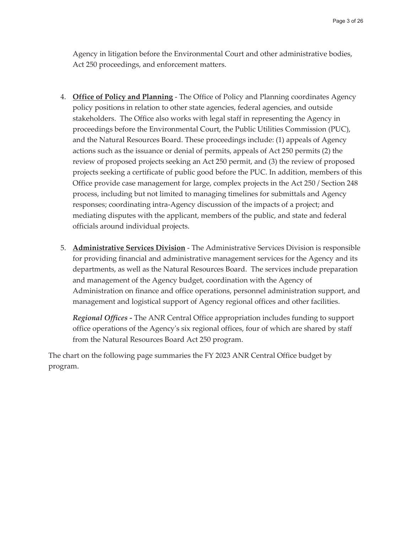Agency in litigation before the Environmental Court and other administrative bodies, Act 250 proceedings, and enforcement matters.

- 4. **Office of Policy and Planning** The Office of Policy and Planning coordinates Agency policy positions in relation to other state agencies, federal agencies, and outside stakeholders. The Office also works with legal staff in representing the Agency in proceedings before the Environmental Court, the Public Utilities Commission (PUC), and the Natural Resources Board. These proceedings include: (1) appeals of Agency actions such as the issuance or denial of permits, appeals of Act 250 permits (2) the review of proposed projects seeking an Act 250 permit, and (3) the review of proposed projects seeking a certificate of public good before the PUC. In addition, members of this Office provide case management for large, complex projects in the Act 250 / Section 248 process, including but not limited to managing timelines for submittals and Agency responses; coordinating intra-Agency discussion of the impacts of a project; and mediating disputes with the applicant, members of the public, and state and federal officials around individual projects.
- 5. **Administrative Services Division** The Administrative Services Division is responsible for providing financial and administrative management services for the Agency and its departments, as well as the Natural Resources Board. The services include preparation and management of the Agency budget, coordination with the Agency of Administration on finance and office operations, personnel administration support, and management and logistical support of Agency regional offices and other facilities.

*Regional Offices -* The ANR Central Office appropriation includes funding to support office operations of the Agency's six regional offices, four of which are shared by staff from the Natural Resources Board Act 250 program.

The chart on the following page summaries the FY 2023 ANR Central Office budget by program.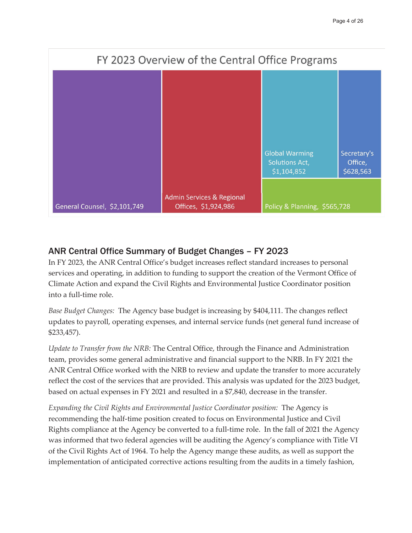![](_page_3_Figure_1.jpeg)

## ANR Central Office Summary of Budget Changes – FY 2023

In FY 2023, the ANR Central Office's budget increases reflect standard increases to personal services and operating, in addition to funding to support the creation of the Vermont Office of Climate Action and expand the Civil Rights and Environmental Justice Coordinator position into a full-time role.

*Base Budget Changes:* The Agency base budget is increasing by \$404,111. The changes reflect updates to payroll, operating expenses, and internal service funds (net general fund increase of \$233,457).

*Update to Transfer from the NRB:* The Central Office, through the Finance and Administration team, provides some general administrative and financial support to the NRB. In FY 2021 the ANR Central Office worked with the NRB to review and update the transfer to more accurately reflect the cost of the services that are provided. This analysis was updated for the 2023 budget, based on actual expenses in FY 2021 and resulted in a \$7,840, decrease in the transfer.

*Expanding the Civil Rights and Environmental Justice Coordinator position:* The Agency is recommending the half-time position created to focus on Environmental Justice and Civil Rights compliance at the Agency be converted to a full-time role. In the fall of 2021 the Agency was informed that two federal agencies will be auditing the Agency's compliance with Title VI of the Civil Rights Act of 1964. To help the Agency mange these audits, as well as support the implementation of anticipated corrective actions resulting from the audits in a timely fashion,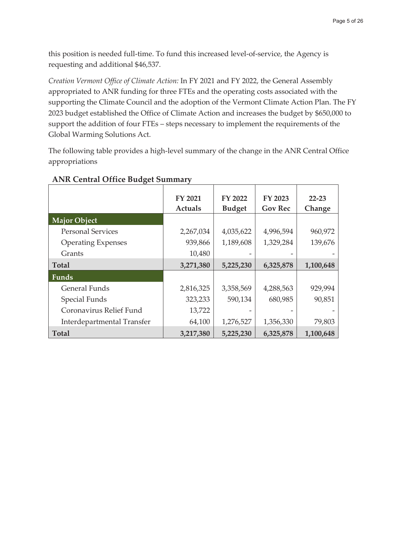this position is needed full-time. To fund this increased level-of-service, the Agency is requesting and additional \$46,537.

*Creation Vermont Office of Climate Action:* In FY 2021 and FY 2022, the General Assembly appropriated to ANR funding for three FTEs and the operating costs associated with the supporting the Climate Council and the adoption of the Vermont Climate Action Plan. The FY 2023 budget established the Office of Climate Action and increases the budget by \$650,000 to support the addition of four FTEs – steps necessary to implement the requirements of the Global Warming Solutions Act.

The following table provides a high-level summary of the change in the ANR Central Office appropriations

|                            | FY 2021<br><b>Actuals</b> | FY 2022<br><b>Budget</b> | FY 2023<br><b>Gov Rec</b> | $22 - 23$<br>Change |
|----------------------------|---------------------------|--------------------------|---------------------------|---------------------|
| <b>Major Object</b>        |                           |                          |                           |                     |
| <b>Personal Services</b>   | 2,267,034                 | 4,035,622                | 4,996,594                 | 960,972             |
| <b>Operating Expenses</b>  | 939,866                   | 1,189,608                | 1,329,284                 | 139,676             |
| Grants                     | 10,480                    |                          |                           |                     |
| <b>Total</b>               | 3,271,380                 | 5,225,230                | 6,325,878                 | 1,100,648           |
| Funds                      |                           |                          |                           |                     |
| General Funds              | 2,816,325                 | 3,358,569                | 4,288,563                 | 929,994             |
| Special Funds              | 323,233                   | 590,134                  | 680,985                   | 90,851              |
| Coronavirus Relief Fund    | 13,722                    |                          |                           |                     |
| Interdepartmental Transfer | 64,100                    | 1,276,527                | 1,356,330                 | 79,803              |
| Total                      | 3,217,380                 | 5,225,230                | 6,325,878                 | 1,100,648           |

#### **ANR Central Office Budget Summary**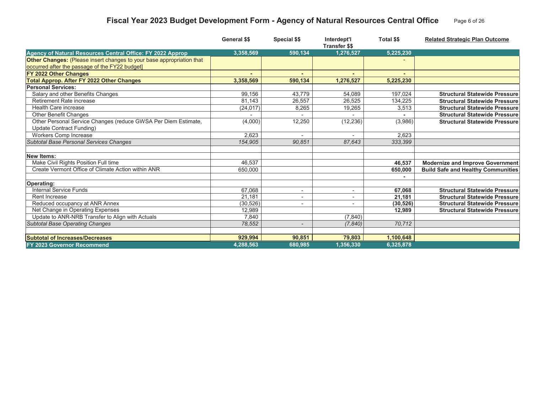# **Fiscal Year 2023 Budget Development Form - Agency of Natural Resources Central Office** Page 6 of 26

|                                                                       | <b>General \$\$</b> | <b>Special \$\$</b> | Interdept'l<br><b>Transfer \$\$</b> | <b>Total \$\$</b> | <b>Related Strategic Plan Outcome</b>     |
|-----------------------------------------------------------------------|---------------------|---------------------|-------------------------------------|-------------------|-------------------------------------------|
| Agency of Natural Resources Central Office: FY 2022 Approp            | 3,358,569           | 590.134             | 1.276.527                           | 5,225,230         |                                           |
| Other Changes: (Please insert changes to your base appropriation that |                     |                     |                                     |                   |                                           |
| occurred after the passage of the FY22 budget]                        |                     |                     |                                     |                   |                                           |
| FY 2022 Other Changes                                                 |                     |                     |                                     |                   |                                           |
| <b>Total Approp. After FY 2022 Other Changes</b>                      | 3,358,569           | 590,134             | 1,276,527                           | 5,225,230         |                                           |
| <b>Personal Services:</b>                                             |                     |                     |                                     |                   |                                           |
| Salary and other Benefits Changes                                     | 99,156              | 43.779              | 54,089                              | 197,024           | <b>Structural Statewide Pressure</b>      |
| Retirement Rate increase                                              | 81.143              | 26.557              | 26,525                              | 134,225           | <b>Structural Statewide Pressure</b>      |
| <b>Health Care increase</b>                                           | (24, 017)           | 8,265               | 19,265                              | 3,513             | <b>Structural Statewide Pressure</b>      |
| Other Benefit Changes                                                 |                     |                     |                                     |                   | <b>Structural Statewide Pressure</b>      |
| Other Personal Service Changes (reduce GWSA Per Diem Estimate,        | (4,000)             | 12,250              | (12, 236)                           | (3,986)           | <b>Structural Statewide Pressure</b>      |
| Update Contract Funding)                                              |                     |                     |                                     |                   |                                           |
| Workers Comp Increase                                                 | 2,623               |                     |                                     | 2,623             |                                           |
| Subtotal Base Personal Services Changes                               | 154.905             | 90.851              | 87,643                              | 333,399           |                                           |
|                                                                       |                     |                     |                                     |                   |                                           |
| <b>New Items:</b>                                                     |                     |                     |                                     |                   |                                           |
| Make Civil Rights Position Full time                                  | 46.537              |                     |                                     | 46,537            | <b>Modernize and Improve Government</b>   |
| Create Vermont Office of Climate Action within ANR                    | 650,000             |                     |                                     | 650,000           | <b>Build Safe and Healthy Communities</b> |
| Operating:                                                            |                     |                     |                                     |                   |                                           |
| Internal Service Funds                                                | 67,068              | $\sim$              | ٠                                   | 67.068            | <b>Structural Statewide Pressure</b>      |
| Rent Increase                                                         | 21.181              |                     |                                     | 21.181            | <b>Structural Statewide Pressure</b>      |
| Reduced occupancy at ANR Annex                                        | (30, 526)           |                     |                                     | (30, 526)         | <b>Structural Statewide Pressure</b>      |
| Net Change in Operating Expenses                                      | 12,989              |                     |                                     | 12,989            | <b>Structural Statewide Pressure</b>      |
| Update to ANR-NRB Transfer to Align with Actuals                      | 7.840               |                     | (7, 840)                            |                   |                                           |
| <b>Subtotal Base Operating Changes</b>                                | 78,552              |                     | (7, 840)                            | 70,712            |                                           |
|                                                                       |                     |                     |                                     |                   |                                           |
| <b>Subtotal of Increases/Decreases</b>                                | 929,994             | 90,851              | 79,803                              | 1,100,648         |                                           |
| <b>FY 2023 Governor Recommend</b>                                     | 4,288,563           | 680,985             | 1,356,330                           | 6,325,878         |                                           |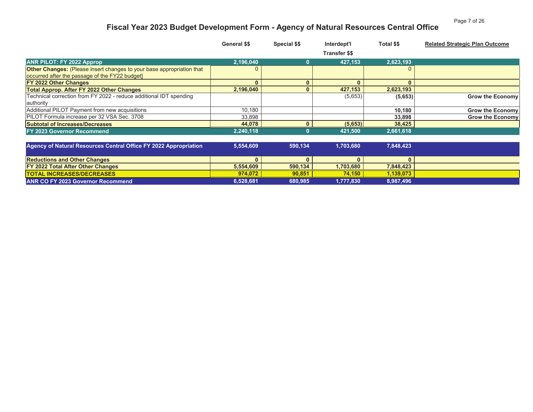#### Page 7 of 26

# **Fiscal Year 2023 Budget Development Form - Agency of Natural Resources Central Office**

|                                                                              | <b>General \$\$</b> | Special \$\$ | Interdept'l          | Total \$\$   | <b>Related Strategic Plan Outcome</b> |
|------------------------------------------------------------------------------|---------------------|--------------|----------------------|--------------|---------------------------------------|
|                                                                              |                     |              | <b>Transfer \$\$</b> |              |                                       |
| <b>ANR PILOT: FY 2022 Approp</b>                                             | 2,196,040           | 0            | 427,153              | 2,623,193    |                                       |
| <b>Other Changes:</b> (Please insert changes to your base appropriation that |                     |              |                      |              |                                       |
| occurred after the passage of the FY22 budget]                               |                     |              |                      |              |                                       |
| <b>FY 2022 Other Changes</b>                                                 | $\mathbf{0}$        | $\mathbf{0}$ | $\mathbf{0}$         | $\mathbf{0}$ |                                       |
| <b>Total Approp. After FY 2022 Other Changes</b>                             | 2,196,040           |              | 427,153              | 2,623,193    |                                       |
| Technical correction from FY 2022 - reduce additional IDT spending           |                     |              | (5,653)              | (5,653)      | <b>Grow the Economy</b>               |
| authority                                                                    |                     |              |                      |              |                                       |
| Additional PILOT Payment from new acquisitions                               | 10.180              |              |                      | 10.180       | <b>Grow the Economy</b>               |
| PILOT Formula increase per 32 VSA Sec. 3708                                  | 33,898              |              |                      | 33,898       | <b>Grow the Economy</b>               |
| <b>Subtotal of Increases/Decreases</b>                                       | 44.078              |              | (5,653)              | 38,425       |                                       |
| <b>FY 2023 Governor Recommend</b>                                            | 2,240,118           |              | 421,500              | 2,661,618    |                                       |
| Agency of Natural Resources Central Office FY 2022 Appropriation             | 5,554,609           | 590,134      | 1,703,680            | 7,848,423    |                                       |
| <b>Reductions and Other Changes</b>                                          | $\mathbf{0}$        | $\mathbf{0}$ | $\mathbf{0}$         | $\mathbf{0}$ |                                       |
| <b>FY 2022 Total After Other Changes</b>                                     | 5,554,609           | 590,134      | 1,703,680            | 7,848,423    |                                       |
| <b>TOTAL INCREASES/DECREASES</b>                                             | 974.072             | 90,851       | 74,150               | 1,139,073    |                                       |
| <b>ANR CO FY 2023 Governor Recommend</b>                                     | 6,528,681           | 680,985      | 1,777,830            | 8,987,496    |                                       |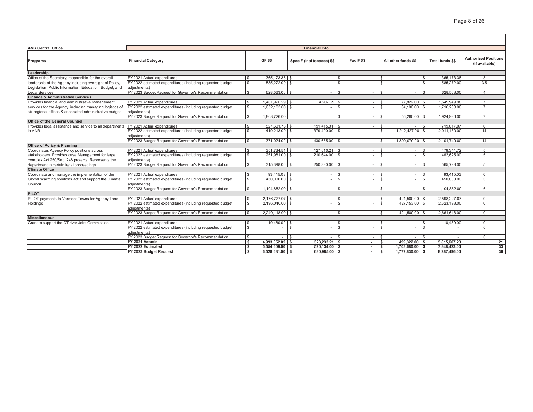| <b>ANR Central Office</b>                                | <b>Financial Info</b>                                                      |                         |                   |                            |                              |                          |                                    |                                  |                                |                                               |  |
|----------------------------------------------------------|----------------------------------------------------------------------------|-------------------------|-------------------|----------------------------|------------------------------|--------------------------|------------------------------------|----------------------------------|--------------------------------|-----------------------------------------------|--|
| Programs                                                 | <b>Financial Category</b>                                                  |                         | GF \$\$           | Spec F (incl tobacco) \$\$ |                              | Fed F \$\$               |                                    | All other funds \$\$             | Total funds \$\$               | <b>Authorized Positions</b><br>(if available) |  |
| Leadership                                               |                                                                            |                         |                   |                            |                              |                          |                                    |                                  |                                |                                               |  |
| Office of the Secretary; responsible for the overall     | FY 2021 Actual expenditures                                                | £.                      | 365,173,36 \$     |                            | ÷,                           |                          | $\sim$                             | \$<br>$\sim$                     | 365.173.36<br>$\mathfrak{R}$   | 3                                             |  |
| leadership of the Agency including oversight of Policy,  | FY 2022 estimated expenditures (including requested budget                 | $\mathbb{S}$            | 585,272.00 \$     |                            |                              |                          |                                    | $\mathbb{S}$                     | $\mathcal{S}$<br>585.272.00    | 3.5                                           |  |
| Legislation, Public Information, Education, Budget, and  | adiustments)                                                               |                         |                   |                            |                              |                          |                                    |                                  |                                |                                               |  |
| <b>Legal Services</b>                                    | FY 2023 Budget Request for Governor's Recommendation                       | $\mathfrak{S}$          | 628,563.00 \$     |                            | $\sim$                       | $\overline{\phantom{a}}$ | $\sim$                             | \$<br>$\sim$                     | $\mathfrak{s}$<br>628.563.00   | $\overline{A}$                                |  |
| <b>Finance &amp; Administrative Services</b>             |                                                                            |                         |                   |                            |                              |                          |                                    |                                  |                                |                                               |  |
| Provides financial and administrative management         | FY 2021 Actual expenditures                                                | - \$                    | 1,467,920.29 \$   |                            | 4,207.69 \$                  |                          | $\sim$                             | 77,822.00                        | 1,549,949.98                   |                                               |  |
| services for the Agency, including managing logistics of | FY 2022 estimated expenditures (including requested budget                 | $\mathbb{S}$            | $1,652,103.00$ \$ |                            |                              | $\mathfrak{L}$           |                                    | 64,100.00 \$<br>\$               | 1,716,203.00                   |                                               |  |
| six regional offices & associated administrative budget  | adiustments)                                                               |                         |                   |                            |                              |                          |                                    |                                  |                                |                                               |  |
|                                                          | FY 2023 Budget Request for Governor's Recommendation                       | l s                     | 1.868.726.00      |                            |                              | £.                       | $\sim$                             | $56.260.00$ \$<br>$\mathfrak{L}$ | 1,924,986.00                   | $\overline{7}$                                |  |
| <b>Office of the General Counsel</b>                     |                                                                            |                         |                   |                            |                              |                          |                                    |                                  |                                |                                               |  |
| Provides legal assistance and service to all departments | FY 2021 Actual expenditures                                                | $\mathbb{S}$            | 527,601.76 \$     |                            | $191.415.31$ \ \$            |                          | $\sim$                             | $\mathfrak{L}$                   | 719.017.07<br>-S               | 6                                             |  |
| in ANR.                                                  | FY 2022 estimated expenditures (including requested budget<br>adiustments) | $\mathbb{S}$            | 419.213.00 \$     |                            | 379.490.00                   | l \$                     |                                    | $\mathbb{S}$<br>1.212.427.00 \$  | 2.011.130.00                   | 14                                            |  |
|                                                          | FY 2023 Budget Request for Governor's Recommendation                       | $\mathfrak{s}$          | 371,024.00 \$     |                            | $430.655.00$ \ \$            |                          | $\sim$                             | 1,300,070.00<br>\$               | 2.101.749.00<br>$\mathcal{S}$  | 14                                            |  |
| <b>Office of Policy &amp; Planning</b>                   |                                                                            |                         |                   |                            |                              |                          |                                    |                                  |                                |                                               |  |
| Coordinates Agency Policy positions across               | FY 2021 Actual expenditures                                                | $\mathfrak{s}$          | $351.734.51$ \\$  |                            | $127.610.21$ \\$             |                          | $\sim$                             | $\mathfrak{F}$<br>$\sim$         | 479.344.72<br>$\mathcal{S}$    | -5                                            |  |
| stakeholders. Provides case Management for large         | FY 2022 estimated expenditures (including requested budget                 | $\mathbb{S}$            | 251,981,00 \$     |                            | 210.644.00 \$                |                          |                                    | $\mathfrak{L}$                   | $\mathbf{s}$<br>462.625.00     | $\overline{5}$                                |  |
| complex Act 250/Sec. 248 projects. Represents the        | adiustments)                                                               |                         |                   |                            |                              |                          |                                    |                                  |                                |                                               |  |
| department in certain legal proceedings                  | FY 2023 Budget Request for Governor's Recommendation                       | $\mathfrak{s}$          | 315,398.00 \$     |                            | 250,330.00 \$                |                          | $\sim$                             | \$<br>$\sim$                     | $\mathfrak{s}$<br>565,728.00   | $\overline{5}$                                |  |
| <b>Climate Office</b>                                    |                                                                            |                         |                   |                            |                              |                          |                                    |                                  |                                |                                               |  |
| Coordinate and manage the implementation of the          | FY 2021 Actual expenditures                                                | \$                      | $93,415.03$ \$    |                            | ٠                            |                          | $\sim$                             | \$<br>$\overline{\phantom{a}}$   | 93,415.03<br>\$                | $\Omega$                                      |  |
| Global Warming solutions act and support the Climate     | FY 2022 estimated expenditures (including requested budget                 | $\mathbb{S}$            | 450,000,00 \$     |                            |                              | $\mathfrak{L}$           |                                    | \$<br>÷.                         | $\mathbb{S}$<br>450,000.00     | 3                                             |  |
| Council.                                                 | adiustments)                                                               |                         |                   |                            |                              |                          |                                    |                                  |                                |                                               |  |
|                                                          | FY 2023 Budget Request for Governor's Recommendation                       | $\mathfrak{s}$          | 1.104.852.00 \$   |                            | $\overline{\mathbf{s}}$<br>٠ |                          | $\sim$                             | \$<br>$\sim$                     | 1.104.852.00<br>$\mathfrak{s}$ | 6                                             |  |
| <b>PILOT</b>                                             |                                                                            |                         |                   |                            |                              |                          |                                    |                                  |                                |                                               |  |
| PILOT payments to Vermont Towns for Agency Land          | FY 2021 Actual expenditures                                                | <b>S</b>                | $2.176.727.07$ \$ |                            | $\overline{\phantom{a}}$     | $\overline{\phantom{a}}$ | - 1                                | 421,500.00 \$<br>\$.             | 2.598.227.07                   | $\Omega$                                      |  |
| Holdings                                                 | FY 2022 estimated expenditures (including requested budget                 | $\mathbb{S}$            | 2,196,040.00 \$   |                            |                              |                          | $\sim$                             | 427,153.00 \$<br>\$              | 2,623,193.00                   | $\Omega$                                      |  |
|                                                          | adjustments)                                                               |                         |                   |                            |                              |                          |                                    |                                  |                                |                                               |  |
|                                                          | FY 2023 Budget Request for Governor's Recommendation                       | l s                     | $2.240.118.00$ \$ |                            |                              |                          | $\sim$                             | 421,500.00 \$<br>£.              | 2.661.618.00                   | $\Omega$                                      |  |
| <b>Miscellaneous</b>                                     |                                                                            |                         |                   |                            |                              |                          |                                    |                                  |                                |                                               |  |
| Grant to support the CT river Joint Commission           | FY 2021 Actual expenditures                                                | $\mathfrak{s}$          | 10,480.00 \$      |                            | ٠                            | $\hat{\mathbf{r}}$       | $\sim$                             | \$                               | 10.480.00<br>£.                | $\Omega$                                      |  |
|                                                          | FY 2022 estimated expenditures (including requested budget<br>adiustments) | l \$                    |                   | $\mathbb{S}$               |                              | $\mathbf{s}$             |                                    | $\mathfrak{L}$                   | $\mathfrak{R}$                 | $\Omega$                                      |  |
|                                                          |                                                                            | $\mathbb{S}$            |                   |                            |                              | l s                      |                                    | $\mathfrak{L}$                   | $\mathfrak{s}$                 | $\Omega$                                      |  |
|                                                          | FY 2023 Budget Request for Governor's Recommendation<br>FY 2021 Actuals    | $\overline{\mathbf{s}}$ | $4,993,052.02$ \$ | \$                         | $323.233.21$ S               |                          | $\overline{\phantom{a}}$           | 499,322.00<br>\$                 | 5.815.607.23<br>-S             | 21                                            |  |
|                                                          | FY 2022 Estimated                                                          | $\overline{\mathbf{s}}$ | $5.554.609.00$ \$ |                            | $590.134.00$ \$              |                          |                                    | 1,703,680.00<br>\$               | 7.848.423.00<br>-S             | 33                                            |  |
|                                                          | FY 2023 Budget Request                                                     | <b>s</b>                | $6.528.681.00$ \$ |                            | 680.985.00 \$                |                          | $\overline{\phantom{a}}$<br>$\sim$ | s.<br>$1,777,830.00$ \$          | 8.987.496.00                   | 36                                            |  |
|                                                          |                                                                            |                         |                   |                            |                              |                          |                                    |                                  |                                |                                               |  |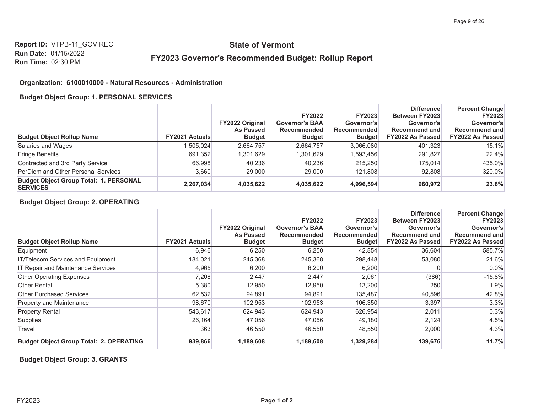## **State of Vermont**

## FY2023 Governor's Recommended Budget: Rollup Report

#### Organization: 6100010000 - Natural Resources - Administration

#### **Budget Object Group: 1. PERSONAL SERVICES**

|                                                                  |                       |                                                             | <b>FY2022</b>                                         | <b>FY2023</b>                              | <b>Difference</b><br>Between FY2023                    | <b>Percent Change</b><br><b>FY2023</b>                        |
|------------------------------------------------------------------|-----------------------|-------------------------------------------------------------|-------------------------------------------------------|--------------------------------------------|--------------------------------------------------------|---------------------------------------------------------------|
| <b>Budget Object Rollup Name</b>                                 | <b>FY2021 Actuals</b> | <b>FY2022 Original</b><br><b>As Passed</b><br><b>Budget</b> | <b>Governor's BAA</b><br>Recommended<br><b>Budget</b> | Governor's<br>Recommended<br><b>Budget</b> | Governor's<br>Recommend and<br><b>FY2022 As Passed</b> | Governor's<br><b>Recommend and</b><br><b>FY2022 As Passed</b> |
| Salaries and Wages                                               | .505.024              | 2.664.757                                                   | 2,664,757                                             | 3.066.080                                  | 401.323                                                | 15.1%                                                         |
| <b>Fringe Benefits</b>                                           | 691,352               | 1,301,629                                                   | 1,301,629                                             | 1,593,456                                  | 291.827                                                | 22.4%                                                         |
| Contracted and 3rd Party Service                                 | 66,998                | 40.236                                                      | 40,236                                                | 215.250                                    | 175.014                                                | 435.0%                                                        |
| PerDiem and Other Personal Services                              | 3,660                 | 29,000                                                      | 29,000                                                | 121.808                                    | 92,808                                                 | 320.0%                                                        |
| <b>Budget Object Group Total: 1. PERSONAL</b><br><b>SERVICES</b> | 2,267,034             | 4,035,622                                                   | 4,035,622                                             | 4,996,594                                  | 960,972                                                | 23.8%                                                         |

#### **Budget Object Group: 2. OPERATING**

|                                                |                       | FY2022 Original<br>As Passed | <b>FY2022</b><br><b>Governor's BAA</b><br><b>Recommended</b> | <b>FY2023</b><br>Governor's<br><b>Recommended</b> | <b>Difference</b><br><b>Between FY2023</b><br>Governor's<br><b>Recommend and</b> | <b>Percent Change</b><br><b>FY2023</b><br>Governor's<br><b>Recommend and</b> |
|------------------------------------------------|-----------------------|------------------------------|--------------------------------------------------------------|---------------------------------------------------|----------------------------------------------------------------------------------|------------------------------------------------------------------------------|
| <b>Budget Object Rollup Name</b>               | <b>FY2021 Actuals</b> | <b>Budget</b>                | <b>Budget</b>                                                | <b>Budget</b>                                     | FY2022 As Passed                                                                 | <b>FY2022 As Passed</b>                                                      |
| Equipment                                      | 6,946                 | 6,250                        | 6,250                                                        | 42,854                                            | 36,604                                                                           | 585.7%                                                                       |
| <b>IT/Telecom Services and Equipment</b>       | 184,021               | 245,368                      | 245,368                                                      | 298,448                                           | 53,080                                                                           | 21.6%                                                                        |
| IT Repair and Maintenance Services             | 4,965                 | 6,200                        | 6,200                                                        | 6,200                                             | 0                                                                                | $0.0\%$                                                                      |
| <b>Other Operating Expenses</b>                | 7,208                 | 2,447                        | 2,447                                                        | 2,061                                             | (386)                                                                            | $-15.8%$                                                                     |
| <b>Other Rental</b>                            | 5,380                 | 12,950                       | 12,950                                                       | 13,200                                            | 250                                                                              | 1.9%                                                                         |
| Other Purchased Services                       | 62,532                | 94,891                       | 94,891                                                       | 135,487                                           | 40,596                                                                           | 42.8%                                                                        |
| <b>Property and Maintenance</b>                | 98,670                | 102,953                      | 102,953                                                      | 106,350                                           | 3,397                                                                            | 3.3%                                                                         |
| <b>Property Rental</b>                         | 543,617               | 624,943                      | 624,943                                                      | 626,954                                           | 2,011                                                                            | 0.3%                                                                         |
| Supplies                                       | 26,164                | 47,056                       | 47,056                                                       | 49,180                                            | 2,124                                                                            | 4.5%                                                                         |
| Travel                                         | 363                   | 46,550                       | 46,550                                                       | 48,550                                            | 2,000                                                                            | 4.3%                                                                         |
| <b>Budget Object Group Total: 2. OPERATING</b> | 939,866               | 1,189,608                    | 1,189,608                                                    | 1,329,284                                         | 139,676                                                                          | 11.7%                                                                        |

**Budget Object Group: 3. GRANTS**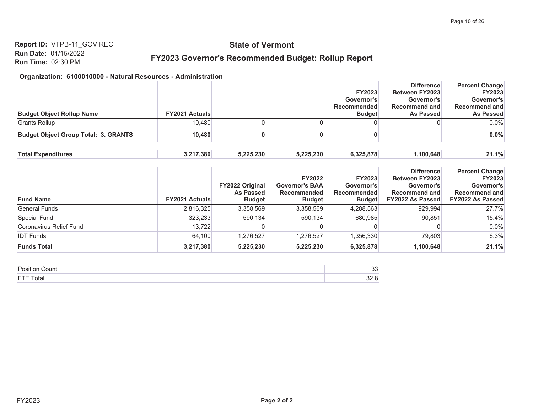# **State of Vermont**

## FY2023 Governor's Recommended Budget: Rollup Report

| <b>Budget Object Rollup Name</b>            | <b>FY2021 Actuals</b> |           |           | <b>FY2023</b><br>Governor's<br><b>Recommended</b><br><b>Budget</b> | <b>Difference</b><br><b>Between FY2023</b><br>Governor's<br><b>Recommend and</b><br>As Passed | <b>Percent Change</b><br><b>FY2023</b><br>Governor's<br><b>Recommend and</b><br><b>As Passed</b> |
|---------------------------------------------|-----------------------|-----------|-----------|--------------------------------------------------------------------|-----------------------------------------------------------------------------------------------|--------------------------------------------------------------------------------------------------|
| <b>Grants Rollup</b>                        | 10,480                |           |           |                                                                    |                                                                                               | $0.0\%$                                                                                          |
| <b>Budget Object Group Total: 3. GRANTS</b> | 10.480                |           |           |                                                                    |                                                                                               | 0.0%                                                                                             |
| <b>Total Expenditures</b>                   | 3,217,380             | 5,225,230 | 5,225,230 | 6,325,878                                                          | 1,100,648                                                                                     | 21.1%                                                                                            |

| <b>Fund Name</b>        | <b>FY2021 Actuals</b> | <b>FY2022 Original</b><br><b>As Passed</b><br><b>Budget</b> | <b>FY2022</b><br><b>Governor's BAA</b><br><b>Recommended</b><br><b>Budget</b> | <b>FY2023</b><br>Governor's<br><b>Recommended</b><br><b>Budget</b> | <b>Difference</b><br><b>Between FY2023</b><br>Governor's<br><b>Recommend and</b><br><b>FY2022 As Passed</b> | <b>Percent Change</b><br><b>FY2023</b><br>Governor's<br><b>Recommend and</b><br><b>FY2022 As Passed</b> |
|-------------------------|-----------------------|-------------------------------------------------------------|-------------------------------------------------------------------------------|--------------------------------------------------------------------|-------------------------------------------------------------------------------------------------------------|---------------------------------------------------------------------------------------------------------|
| <b>General Funds</b>    | 2,816,325             | 3,358,569                                                   | 3,358,569                                                                     | 4,288,563                                                          | 929.994                                                                                                     | 27.7%                                                                                                   |
| Special Fund            | 323,233               | 590.134                                                     | 590,134                                                                       | 680,985                                                            | 90.851                                                                                                      | 15.4%                                                                                                   |
| Coronavirus Relief Fund | 13.722                |                                                             |                                                                               |                                                                    |                                                                                                             | 0.0%                                                                                                    |
| <b>IDT Funds</b>        | 64.100                | 1,276,527                                                   | 1,276,527                                                                     | 1,356,330                                                          | 79.803                                                                                                      | 6.3%                                                                                                    |
| <b>Funds Total</b>      | 3,217,380             | 5,225,230                                                   | 5,225,230                                                                     | 6,325,878                                                          | 1,100,648                                                                                                   | 21.1%                                                                                                   |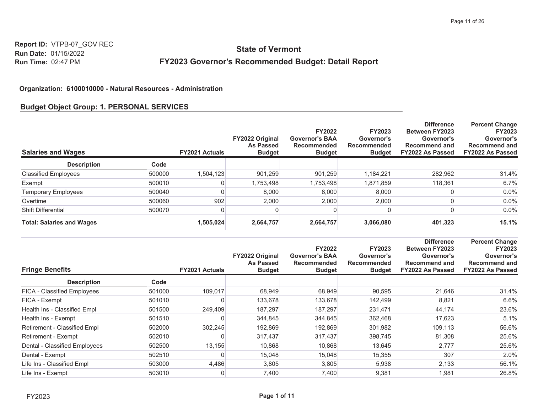# **State of Vermont** FY2023 Governor's Recommended Budget: Detail Report

#### Organization: 6100010000 - Natural Resources - Administration

#### **Budget Object Group: 1. PERSONAL SERVICES**

| <b>Salaries and Wages</b>        |        | <b>FY2021 Actuals</b> | <b>FY2022 Original</b><br><b>As Passed</b><br><b>Budget</b> | <b>FY2022</b><br><b>Governor's BAA</b><br>Recommended<br><b>Budget</b> | <b>FY2023</b><br>Governor's<br>Recommended<br><b>Budget</b> | <b>Difference</b><br><b>Between FY2023</b><br>Governor's<br><b>Recommend and</b><br><b>FY2022 As Passed</b> | <b>Percent Change</b><br><b>FY2023</b><br>Governor's<br><b>Recommend and</b><br><b>FY2022 As Passed</b> |
|----------------------------------|--------|-----------------------|-------------------------------------------------------------|------------------------------------------------------------------------|-------------------------------------------------------------|-------------------------------------------------------------------------------------------------------------|---------------------------------------------------------------------------------------------------------|
| <b>Description</b>               | Code   |                       |                                                             |                                                                        |                                                             |                                                                                                             |                                                                                                         |
| <b>Classified Employees</b>      | 500000 | 1,504,123             | 901,259                                                     | 901.259                                                                | 1,184,221                                                   | 282,962                                                                                                     | 31.4%                                                                                                   |
| Exempt                           | 500010 |                       | 1,753,498                                                   | 1,753,498                                                              | 1,871,859                                                   | 118,361                                                                                                     | 6.7%                                                                                                    |
| <b>Temporary Employees</b>       | 500040 |                       | 8,000                                                       | 8,000                                                                  | 8,000                                                       |                                                                                                             | $0.0\%$                                                                                                 |
| Overtime                         | 500060 | 902                   | 2,000                                                       | 2,000                                                                  | 2,000                                                       |                                                                                                             | $0.0\%$                                                                                                 |
| Shift Differential               | 500070 |                       |                                                             |                                                                        |                                                             |                                                                                                             | $0.0\%$                                                                                                 |
| <b>Total: Salaries and Wages</b> |        | 1,505,024             | 2,664,757                                                   | 2,664,757                                                              | 3,066,080                                                   | 401,323                                                                                                     | 15.1%                                                                                                   |

| <b>Fringe Benefits</b>        |        | <b>FY2021 Actuals</b> | FY2022 Original<br><b>As Passed</b><br><b>Budget</b> | <b>FY2022</b><br><b>Governor's BAA</b><br><b>Recommended</b><br><b>Budget</b> | <b>FY2023</b><br>Governor's<br><b>Recommended</b><br><b>Budget</b> | <b>Difference</b><br><b>Between FY2023</b><br>Governor's<br><b>Recommend and</b><br>FY2022 As Passed | <b>Percent Change</b><br><b>FY2023</b><br>Governor's<br><b>Recommend and</b><br>FY2022 As Passed |
|-------------------------------|--------|-----------------------|------------------------------------------------------|-------------------------------------------------------------------------------|--------------------------------------------------------------------|------------------------------------------------------------------------------------------------------|--------------------------------------------------------------------------------------------------|
| <b>Description</b>            | Code   |                       |                                                      |                                                                               |                                                                    |                                                                                                      |                                                                                                  |
| FICA - Classified Employees   | 501000 | 109,017               | 68,949                                               | 68,949                                                                        | 90,595                                                             | 21,646                                                                                               | 31.4%                                                                                            |
| FICA - Exempt                 | 501010 | 0                     | 133,678                                              | 133,678                                                                       | 142,499                                                            | 8,821                                                                                                | 6.6%                                                                                             |
| Health Ins - Classified Empl  | 501500 | 249,409               | 187,297                                              | 187,297                                                                       | 231,471                                                            | 44,174                                                                                               | 23.6%                                                                                            |
| Health Ins - Exempt           | 501510 | 0                     | 344,845                                              | 344,845                                                                       | 362,468                                                            | 17,623                                                                                               | 5.1%                                                                                             |
| Retirement - Classified Empl  | 502000 | 302,245               | 192,869                                              | 192,869                                                                       | 301,982                                                            | 109,113                                                                                              | 56.6%                                                                                            |
| Retirement - Exempt           | 502010 | 0                     | 317,437                                              | 317,437                                                                       | 398,745                                                            | 81,308                                                                                               | 25.6%                                                                                            |
| Dental - Classified Employees | 502500 | 13,155                | 10,868                                               | 10,868                                                                        | 13,645                                                             | 2,777                                                                                                | 25.6%                                                                                            |
| Dental - Exempt               | 502510 | 0                     | 15,048                                               | 15,048                                                                        | 15,355                                                             | 307                                                                                                  | 2.0%                                                                                             |
| Life Ins - Classified Empl    | 503000 | 4,486                 | 3,805                                                | 3,805                                                                         | 5,938                                                              | 2,133                                                                                                | 56.1%                                                                                            |
| Life Ins - Exempt             | 503010 | 0                     | 7,400                                                | 7,400                                                                         | 9,381                                                              | 1,981                                                                                                | 26.8%                                                                                            |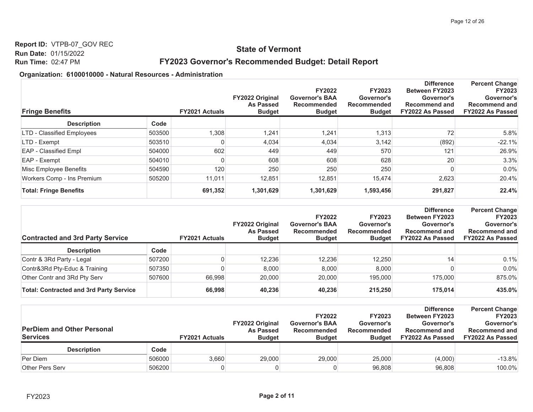## **State of Vermont**

## FY2023 Governor's Recommended Budget: Detail Report

| <b>Fringe Benefits</b>        |        | <b>FY2021 Actuals</b> | <b>FY2022 Original</b><br><b>As Passed</b><br><b>Budget</b> | <b>FY2022</b><br><b>Governor's BAA</b><br>Recommended<br><b>Budget</b> | <b>FY2023</b><br>Governor's<br><b>Recommended</b><br><b>Budget</b> | <b>Difference</b><br><b>Between FY2023</b><br>Governor's<br><b>Recommend and</b><br>FY2022 As Passed | <b>Percent Change</b><br><b>FY2023</b><br>Governor's<br><b>Recommend and</b><br><b>FY2022 As Passed</b> |
|-------------------------------|--------|-----------------------|-------------------------------------------------------------|------------------------------------------------------------------------|--------------------------------------------------------------------|------------------------------------------------------------------------------------------------------|---------------------------------------------------------------------------------------------------------|
| <b>Description</b>            | Code   |                       |                                                             |                                                                        |                                                                    |                                                                                                      |                                                                                                         |
| LTD - Classified Employees    | 503500 | 1,308                 | 1,241                                                       | 1,241                                                                  | 1,313                                                              | 72                                                                                                   | 5.8%                                                                                                    |
| LTD - Exempt                  | 503510 | 0                     | 4,034                                                       | 4,034                                                                  | 3,142                                                              | (892)                                                                                                | $-22.1%$                                                                                                |
| EAP - Classified Empl         | 504000 | 602                   | 449                                                         | 449                                                                    | 570                                                                | 121                                                                                                  | 26.9%                                                                                                   |
| EAP - Exempt                  | 504010 | 0                     | 608                                                         | 608                                                                    | 628                                                                | 20                                                                                                   | 3.3%                                                                                                    |
| Misc Employee Benefits        | 504590 | 120                   | 250                                                         | 250                                                                    | 250                                                                |                                                                                                      | $0.0\%$                                                                                                 |
| Workers Comp - Ins Premium    | 505200 | 11,011                | 12,851                                                      | 12,851                                                                 | 15,474                                                             | 2,623                                                                                                | 20.4%                                                                                                   |
| <b>Total: Fringe Benefits</b> |        | 691,352               | 1,301,629                                                   | 1,301,629                                                              | 1,593,456                                                          | 291,827                                                                                              | 22.4%                                                                                                   |

| <b>Contracted and 3rd Party Service</b>        |        | <b>FY2021 Actuals</b> | <b>FY2022 Original</b><br><b>As Passed</b><br><b>Budget</b> | <b>FY2022</b><br><b>Governor's BAA</b><br><b>Recommended</b><br><b>Budget</b> | <b>FY2023</b><br>Governor's<br>Recommended<br><b>Budget</b> | <b>Difference</b><br><b>Between FY2023</b><br>Governor's<br><b>Recommend and</b><br>FY2022 As Passed | <b>Percent Change</b><br><b>FY2023</b><br>Governor's<br><b>Recommend and</b><br><b>FY2022 As Passed</b> |
|------------------------------------------------|--------|-----------------------|-------------------------------------------------------------|-------------------------------------------------------------------------------|-------------------------------------------------------------|------------------------------------------------------------------------------------------------------|---------------------------------------------------------------------------------------------------------|
| <b>Description</b>                             | Code   |                       |                                                             |                                                                               |                                                             |                                                                                                      |                                                                                                         |
| Contr & 3Rd Party - Legal                      | 507200 |                       | 12,236                                                      | 12.236                                                                        | 12,250                                                      | 14                                                                                                   | 0.1%                                                                                                    |
| Contr&3Rd Pty-Educ & Training                  | 507350 |                       | 8.000                                                       | 8,000                                                                         | 8.000                                                       |                                                                                                      | $0.0\%$                                                                                                 |
| Other Contr and 3Rd Pty Serv                   | 507600 | 66.998                | 20,000                                                      | 20,000                                                                        | 195,000                                                     | 175,000                                                                                              | 875.0%                                                                                                  |
| <b>Total: Contracted and 3rd Party Service</b> |        | 66,998                | 40.236                                                      | 40,236                                                                        | 215,250                                                     | 175.014                                                                                              | 435.0%                                                                                                  |

| <b>PerDiem and Other Personal</b><br><b>Services</b> |        | <b>FY2021 Actuals</b> | <b>FY2022 Original</b><br><b>As Passed</b><br><b>Budget</b> | <b>FY2022</b><br><b>Governor's BAA</b><br>Recommended<br><b>Budget</b> | <b>FY2023</b><br>Governor's<br>Recommended<br><b>Budget</b> | <b>Difference</b><br><b>Between FY2023</b><br>Governor's<br><b>Recommend and</b><br>FY2022 As Passed | <b>Percent Change</b><br><b>FY2023</b><br>Governor's<br>Recommend and<br><b>FY2022 As Passed</b> |
|------------------------------------------------------|--------|-----------------------|-------------------------------------------------------------|------------------------------------------------------------------------|-------------------------------------------------------------|------------------------------------------------------------------------------------------------------|--------------------------------------------------------------------------------------------------|
| <b>Description</b>                                   | Code   |                       |                                                             |                                                                        |                                                             |                                                                                                      |                                                                                                  |
| Per Diem                                             | 506000 | 3.660                 | 29,000                                                      | 29,000                                                                 | 25,000                                                      | (4,000)                                                                                              | $-13.8%$                                                                                         |
| <b>Other Pers Serv</b>                               | 506200 |                       |                                                             |                                                                        | 96,808                                                      | 96,808                                                                                               | 100.0%                                                                                           |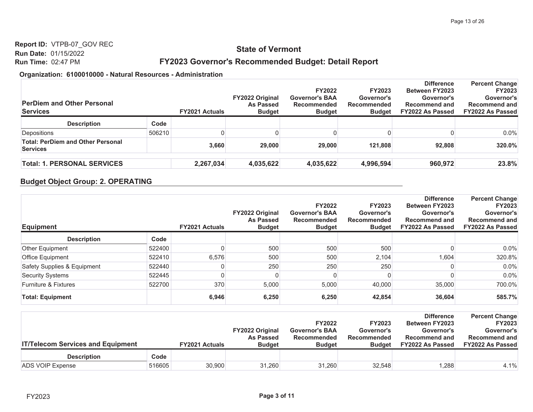## **State of Vermont**

## FY2023 Governor's Recommended Budget: Detail Report

#### Organization: 6100010000 - Natural Resources - Administration

| <b>PerDiem and Other Personal</b><br><b>Services</b>        |        | <b>FY2021 Actuals</b> | <b>FY2022 Original</b><br>As Passed<br><b>Budget</b> | <b>FY2022</b><br><b>Governor's BAA</b><br>Recommended<br><b>Budget</b> | <b>FY2023</b><br>Governor's<br>Recommended<br><b>Budget</b> | <b>Difference</b><br><b>Between FY2023</b><br>Governor's<br>Recommend and<br><b>FY2022 As Passed</b> | <b>Percent Change</b><br><b>FY2023</b><br>Governor's<br><b>Recommend and</b><br><b>FY2022 As Passed</b> |
|-------------------------------------------------------------|--------|-----------------------|------------------------------------------------------|------------------------------------------------------------------------|-------------------------------------------------------------|------------------------------------------------------------------------------------------------------|---------------------------------------------------------------------------------------------------------|
| <b>Description</b>                                          | Code   |                       |                                                      |                                                                        |                                                             |                                                                                                      |                                                                                                         |
| Depositions                                                 | 506210 |                       |                                                      |                                                                        |                                                             |                                                                                                      | $0.0\%$                                                                                                 |
| <b>Total: PerDiem and Other Personal</b><br><b>Services</b> |        | 3.660                 | 29,000                                               | 29,000                                                                 | 121.808                                                     | 92.808                                                                                               | 320.0%                                                                                                  |
| <b>Total: 1. PERSONAL SERVICES</b>                          |        | 2,267,034             | 4,035,622                                            | 4,035,622                                                              | 4,996,594                                                   | 960,972                                                                                              | 23.8%                                                                                                   |

#### **Budget Object Group: 2. OPERATING**

| <b>Equipment</b>            |        | <b>FY2021 Actuals</b> | <b>FY2022 Original</b><br><b>As Passed</b><br><b>Budget</b> | <b>FY2022</b><br><b>Governor's BAA</b><br>Recommended<br><b>Budget</b> | <b>FY2023</b><br>Governor's<br><b>Recommended</b><br><b>Budget</b> | <b>Difference</b><br><b>Between FY2023</b><br>Governor's<br><b>Recommend and</b><br><b>FY2022 As Passed</b> | <b>Percent Change</b><br><b>FY2023</b><br>Governor's<br><b>Recommend and</b><br><b>FY2022 As Passed</b> |
|-----------------------------|--------|-----------------------|-------------------------------------------------------------|------------------------------------------------------------------------|--------------------------------------------------------------------|-------------------------------------------------------------------------------------------------------------|---------------------------------------------------------------------------------------------------------|
| <b>Description</b>          | Code   |                       |                                                             |                                                                        |                                                                    |                                                                                                             |                                                                                                         |
| Other Equipment             | 522400 |                       | 500                                                         | 500                                                                    | 500                                                                |                                                                                                             | $0.0\%$                                                                                                 |
| Office Equipment            | 522410 | 6,576                 | 500                                                         | 500                                                                    | 2,104                                                              | 1.604                                                                                                       | 320.8%                                                                                                  |
| Safety Supplies & Equipment | 522440 |                       | 250                                                         | 250                                                                    | 250                                                                |                                                                                                             | 0.0%                                                                                                    |
| <b>Security Systems</b>     | 522445 |                       | 0                                                           |                                                                        |                                                                    |                                                                                                             | 0.0%                                                                                                    |
| Furniture & Fixtures        | 522700 | 370                   | 5,000                                                       | 5,000                                                                  | 40,000                                                             | 35,000                                                                                                      | 700.0%                                                                                                  |
| <b>Total: Equipment</b>     |        | 6,946                 | 6,250                                                       | 6,250                                                                  | 42,854                                                             | 36,604                                                                                                      | 585.7%                                                                                                  |

| <b>IT/Telecom Services and Equipment</b> |        | <b>FY2021 Actuals</b> | <b>FY2022 Original</b><br><b>As Passed</b><br><b>Budget</b> | <b>FY2022</b><br><b>Governor's BAA</b><br>Recommended<br><b>Budget</b> | <b>FY2023</b><br>Governor's<br>Recommended<br><b>Budget</b> | <b>Difference</b><br><b>Between FY2023</b><br>Governor's<br><b>Recommend and</b><br>FY2022 As Passed | <b>Percent Change</b><br><b>FY2023</b><br>Governor's<br><b>Recommend and</b><br><b>FY2022 As Passed</b> |
|------------------------------------------|--------|-----------------------|-------------------------------------------------------------|------------------------------------------------------------------------|-------------------------------------------------------------|------------------------------------------------------------------------------------------------------|---------------------------------------------------------------------------------------------------------|
| <b>Description</b>                       | Code   |                       |                                                             |                                                                        |                                                             |                                                                                                      |                                                                                                         |
| ADS VOIP Expense                         | 516605 | 30,900                | 31,260                                                      | 31,260                                                                 | 32,548                                                      | 1,288                                                                                                | 4.1%                                                                                                    |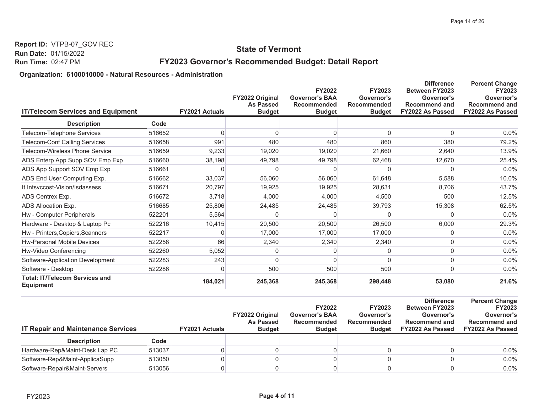## **State of Vermont**

## FY2023 Governor's Recommended Budget: Detail Report

| <b>IT/Telecom Services and Equipment</b>                  |        | <b>FY2021 Actuals</b> | FY2022 Original<br><b>As Passed</b><br><b>Budget</b> | <b>FY2022</b><br><b>Governor's BAA</b><br><b>Recommended</b><br><b>Budget</b> | <b>FY2023</b><br>Governor's<br>Recommended<br><b>Budget</b> | <b>Difference</b><br><b>Between FY2023</b><br>Governor's<br><b>Recommend and</b><br>FY2022 As Passed | <b>Percent Change</b><br><b>FY2023</b><br>Governor's<br><b>Recommend and</b><br>FY2022 As Passed |
|-----------------------------------------------------------|--------|-----------------------|------------------------------------------------------|-------------------------------------------------------------------------------|-------------------------------------------------------------|------------------------------------------------------------------------------------------------------|--------------------------------------------------------------------------------------------------|
| <b>Description</b>                                        | Code   |                       |                                                      |                                                                               |                                                             |                                                                                                      |                                                                                                  |
| Telecom-Telephone Services                                | 516652 | <sup>0</sup>          | ∩                                                    |                                                                               | <sup>n</sup>                                                |                                                                                                      | 0.0%                                                                                             |
| <b>Telecom-Conf Calling Services</b>                      | 516658 | 991                   | 480                                                  | 480                                                                           | 860                                                         | 380                                                                                                  | 79.2%                                                                                            |
| Telecom-Wireless Phone Service                            | 516659 | 9,233                 | 19,020                                               | 19,020                                                                        | 21,660                                                      | 2,640                                                                                                | 13.9%                                                                                            |
| ADS Enterp App Supp SOV Emp Exp                           | 516660 | 38,198                | 49,798                                               | 49,798                                                                        | 62,468                                                      | 12,670                                                                                               | 25.4%                                                                                            |
| ADS App Support SOV Emp Exp                               | 516661 | 0                     | O                                                    |                                                                               |                                                             |                                                                                                      | 0.0%                                                                                             |
| ADS End User Computing Exp.                               | 516662 | 33,037                | 56,060                                               | 56,060                                                                        | 61,648                                                      | 5,588                                                                                                | 10.0%                                                                                            |
| It Intsyccost-Vision/Isdassess                            | 516671 | 20,797                | 19,925                                               | 19,925                                                                        | 28,631                                                      | 8,706                                                                                                | 43.7%                                                                                            |
| ADS Centrex Exp.                                          | 516672 | 3,718                 | 4,000                                                | 4,000                                                                         | 4,500                                                       | 500                                                                                                  | 12.5%                                                                                            |
| ADS Allocation Exp.                                       | 516685 | 25,806                | 24,485                                               | 24,485                                                                        | 39,793                                                      | 15,308                                                                                               | 62.5%                                                                                            |
| Hw - Computer Peripherals                                 | 522201 | 5,564                 | O                                                    |                                                                               |                                                             |                                                                                                      | 0.0%                                                                                             |
| Hardware - Desktop & Laptop Pc                            | 522216 | 10,415                | 20,500                                               | 20,500                                                                        | 26,500                                                      | 6,000                                                                                                | 29.3%                                                                                            |
| Hw - Printers, Copiers, Scanners                          | 522217 | 0                     | 17,000                                               | 17,000                                                                        | 17,000                                                      |                                                                                                      | 0.0%                                                                                             |
| <b>Hw-Personal Mobile Devices</b>                         | 522258 | 66                    | 2,340                                                | 2,340                                                                         | 2,340                                                       |                                                                                                      | 0.0%                                                                                             |
| Hw-Video Conferencing                                     | 522260 | 5,052                 |                                                      |                                                                               |                                                             |                                                                                                      | 0.0%                                                                                             |
| Software-Application Development                          | 522283 | 243                   | O                                                    |                                                                               |                                                             |                                                                                                      | 0.0%                                                                                             |
| Software - Desktop                                        | 522286 | 0                     | 500                                                  | 500                                                                           | 500                                                         |                                                                                                      | 0.0%                                                                                             |
| <b>Total: IT/Telecom Services and</b><br><b>Equipment</b> |        | 184,021               | 245,368                                              | 245,368                                                                       | 298,448                                                     | 53,080                                                                                               | 21.6%                                                                                            |

| <b>IT Repair and Maintenance Services</b> |        | <b>FY2021 Actuals</b> | <b>FY2022 Original</b><br><b>As Passed</b><br><b>Budget</b> | <b>FY2022</b><br><b>Governor's BAA</b><br>Recommended<br><b>Budget</b> | <b>FY2023</b><br>Governor's<br>Recommended<br><b>Budget</b> | <b>Difference</b><br><b>Between FY2023</b><br>Governor's<br><b>Recommend and</b><br>FY2022 As Passed | <b>Percent Change</b><br><b>FY2023</b><br>Governor's<br><b>Recommend and</b><br><b>FY2022 As Passed</b> |
|-------------------------------------------|--------|-----------------------|-------------------------------------------------------------|------------------------------------------------------------------------|-------------------------------------------------------------|------------------------------------------------------------------------------------------------------|---------------------------------------------------------------------------------------------------------|
| <b>Description</b>                        | Code   |                       |                                                             |                                                                        |                                                             |                                                                                                      |                                                                                                         |
| Hardware-Rep&Maint-Desk Lap PC            | 513037 |                       |                                                             |                                                                        |                                                             |                                                                                                      | $0.0\%$                                                                                                 |
| Software-Rep&Maint-ApplicaSupp            | 513050 |                       |                                                             |                                                                        |                                                             |                                                                                                      | $0.0\%$                                                                                                 |
| Software-Repair&Maint-Servers             | 513056 |                       |                                                             |                                                                        |                                                             |                                                                                                      | $0.0\%$                                                                                                 |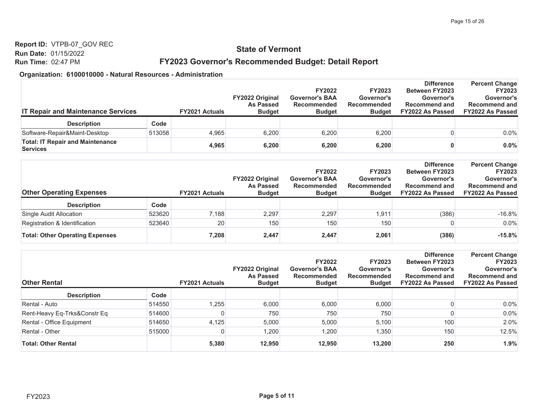## **State of Vermont**

## FY2023 Governor's Recommended Budget: Detail Report

| <b>IT Repair and Maintenance Services</b>                  |        | <b>FY2021 Actuals</b> | <b>FY2022 Original</b><br><b>As Passed</b><br><b>Budget</b> | <b>FY2022</b><br><b>Governor's BAA</b><br>Recommended<br><b>Budget</b> | <b>FY2023</b><br>Governor's<br>Recommended<br><b>Budget</b> | <b>Difference</b><br><b>Between FY2023</b><br>Governor's<br><b>Recommend and</b><br>FY2022 As Passed | <b>Percent Change</b><br><b>FY2023</b><br>Governor's<br><b>Recommend and</b><br><b>FY2022 As Passed</b> |
|------------------------------------------------------------|--------|-----------------------|-------------------------------------------------------------|------------------------------------------------------------------------|-------------------------------------------------------------|------------------------------------------------------------------------------------------------------|---------------------------------------------------------------------------------------------------------|
| <b>Description</b>                                         | Code   |                       |                                                             |                                                                        |                                                             |                                                                                                      |                                                                                                         |
| Software-Repair&Maint-Desktop                              | 513058 | 4.965                 | 6.200                                                       | 6.200                                                                  | 6.200                                                       |                                                                                                      | $0.0\%$                                                                                                 |
| <b>Total: IT Repair and Maintenance</b><br><b>Services</b> |        | 4,965                 | 6,200                                                       | 6,200                                                                  | 6,200                                                       |                                                                                                      | $0.0\%$                                                                                                 |

| <b>Other Operating Expenses</b>        |        | <b>FY2021 Actuals</b> | <b>FY2022 Original</b><br><b>As Passed</b><br><b>Budget</b> | <b>FY2022</b><br><b>Governor's BAA</b><br>Recommended<br><b>Budget</b> | <b>FY2023</b><br>Governor's<br>Recommended<br><b>Budget</b> | <b>Difference</b><br><b>Between FY2023</b><br>Governor's<br><b>Recommend and</b><br>FY2022 As Passed | <b>Percent Change</b><br><b>FY2023</b><br>Governor's<br><b>Recommend and</b><br><b>FY2022 As Passed</b> |
|----------------------------------------|--------|-----------------------|-------------------------------------------------------------|------------------------------------------------------------------------|-------------------------------------------------------------|------------------------------------------------------------------------------------------------------|---------------------------------------------------------------------------------------------------------|
| <b>Description</b>                     | Code   |                       |                                                             |                                                                        |                                                             |                                                                                                      |                                                                                                         |
| Single Audit Allocation                | 523620 | 7.188                 | 2.297                                                       | 2.297                                                                  | 1.911                                                       | (386)                                                                                                | $-16.8%$                                                                                                |
| Registration & Identification          | 523640 | 20                    | 150                                                         | 150                                                                    | 150                                                         |                                                                                                      | $0.0\%$                                                                                                 |
| <b>Total: Other Operating Expenses</b> |        | 7,208                 | 2,447                                                       | 2,447                                                                  | 2,061                                                       | (386)                                                                                                | $-15.8%$                                                                                                |

| <b>Other Rental</b>          |        | <b>FY2021 Actuals</b> | <b>FY2022 Original</b><br><b>As Passed</b><br><b>Budget</b> | <b>FY2022</b><br><b>Governor's BAA</b><br><b>Recommended</b><br><b>Budget</b> | <b>FY2023</b><br>Governor's<br>Recommended<br><b>Budget</b> | <b>Difference</b><br><b>Between FY2023</b><br>Governor's<br><b>Recommend and</b><br>FY2022 As Passed | <b>Percent Change</b><br><b>FY2023</b><br>Governor's<br><b>Recommend and</b><br><b>FY2022 As Passed</b> |
|------------------------------|--------|-----------------------|-------------------------------------------------------------|-------------------------------------------------------------------------------|-------------------------------------------------------------|------------------------------------------------------------------------------------------------------|---------------------------------------------------------------------------------------------------------|
| <b>Description</b>           | Code   |                       |                                                             |                                                                               |                                                             |                                                                                                      |                                                                                                         |
| Rental - Auto                | 514550 | 1,255                 | 6,000                                                       | 6,000                                                                         | 6,000                                                       |                                                                                                      | $0.0\%$                                                                                                 |
| Rent-Heavy Eq-Trks&Constr Eq | 514600 |                       | 750                                                         | 750                                                                           | 750                                                         |                                                                                                      | 0.0%                                                                                                    |
| Rental - Office Equipment    | 514650 | 4,125                 | 5,000                                                       | 5,000                                                                         | 5,100                                                       | 100                                                                                                  | 2.0%                                                                                                    |
| Rental - Other               | 515000 | 0                     | 1,200                                                       | 1,200                                                                         | 1,350                                                       | 150                                                                                                  | 12.5%                                                                                                   |
| <b>Total: Other Rental</b>   |        | 5,380                 | 12,950                                                      | 12,950                                                                        | 13,200                                                      | 250                                                                                                  | 1.9%                                                                                                    |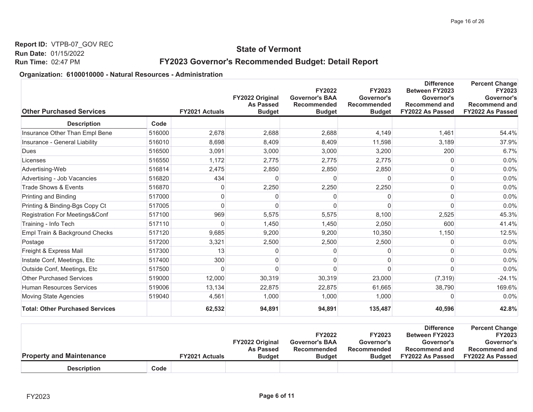## **State of Vermont**

## FY2023 Governor's Recommended Budget: Detail Report

| <b>Other Purchased Services</b>        |        | FY2021 Actuals | FY2022 Original<br><b>As Passed</b><br><b>Budget</b> | <b>FY2022</b><br><b>Governor's BAA</b><br><b>Recommended</b><br><b>Budget</b> | <b>FY2023</b><br>Governor's<br>Recommended<br><b>Budget</b> | <b>Difference</b><br>Between FY2023<br>Governor's<br><b>Recommend and</b><br>FY2022 As Passed | <b>Percent Change</b><br>FY2023<br>Governor's<br><b>Recommend and</b><br>FY2022 As Passed |
|----------------------------------------|--------|----------------|------------------------------------------------------|-------------------------------------------------------------------------------|-------------------------------------------------------------|-----------------------------------------------------------------------------------------------|-------------------------------------------------------------------------------------------|
| <b>Description</b>                     | Code   |                |                                                      |                                                                               |                                                             |                                                                                               |                                                                                           |
| Insurance Other Than Empl Bene         | 516000 | 2,678          | 2,688                                                | 2,688                                                                         | 4,149                                                       | 1,461                                                                                         | 54.4%                                                                                     |
| Insurance - General Liability          | 516010 | 8,698          | 8.409                                                | 8,409                                                                         | 11,598                                                      | 3,189                                                                                         | 37.9%                                                                                     |
| Dues                                   | 516500 | 3,091          | 3.000                                                | 3,000                                                                         | 3,200                                                       | 200                                                                                           | 6.7%                                                                                      |
| Licenses                               | 516550 | 1,172          | 2.775                                                | 2,775                                                                         | 2,775                                                       | O                                                                                             | 0.0%                                                                                      |
| Advertising-Web                        | 516814 | 2,475          | 2,850                                                | 2,850                                                                         | 2,850                                                       |                                                                                               | 0.0%                                                                                      |
| Advertising - Job Vacancies            | 516820 | 434            | $\Omega$                                             | 0                                                                             | $\Omega$                                                    |                                                                                               | 0.0%                                                                                      |
| Trade Shows & Events                   | 516870 | 0              | 2,250                                                | 2,250                                                                         | 2,250                                                       | 0                                                                                             | 0.0%                                                                                      |
| Printing and Binding                   | 517000 | $\mathbf{0}$   | $\Omega$                                             | $\Omega$                                                                      | 0                                                           | 0                                                                                             | 0.0%                                                                                      |
| Printing & Binding-Bgs Copy Ct         | 517005 | $\Omega$       | $\Omega$                                             |                                                                               | 0                                                           | U                                                                                             | 0.0%                                                                                      |
| Registration For Meetings&Conf         | 517100 | 969            | 5,575                                                | 5,575                                                                         | 8,100                                                       | 2,525                                                                                         | 45.3%                                                                                     |
| Training - Info Tech                   | 517110 | $\Omega$       | 1,450                                                | 1,450                                                                         | 2,050                                                       | 600                                                                                           | 41.4%                                                                                     |
| Empl Train & Background Checks         | 517120 | 9.685          | 9.200                                                | 9,200                                                                         | 10,350                                                      | 1,150                                                                                         | 12.5%                                                                                     |
| Postage                                | 517200 | 3,321          | 2,500                                                | 2,500                                                                         | 2,500                                                       |                                                                                               | 0.0%                                                                                      |
| Freight & Express Mail                 | 517300 | 13             | $\Omega$                                             |                                                                               | 0                                                           |                                                                                               | 0.0%                                                                                      |
| Instate Conf, Meetings, Etc            | 517400 | 300            | $\Omega$                                             |                                                                               | 0                                                           | በ                                                                                             | 0.0%                                                                                      |
| Outside Conf, Meetings, Etc            | 517500 | $\Omega$       | $\Omega$                                             |                                                                               | $\Omega$                                                    | 0                                                                                             | 0.0%                                                                                      |
| <b>Other Purchased Services</b>        | 519000 | 12,000         | 30,319                                               | 30,319                                                                        | 23,000                                                      | (7, 319)                                                                                      | $-24.1%$                                                                                  |
| <b>Human Resources Services</b>        | 519006 | 13,134         | 22,875                                               | 22,875                                                                        | 61,665                                                      | 38,790                                                                                        | 169.6%                                                                                    |
| <b>Moving State Agencies</b>           | 519040 | 4,561          | 1,000                                                | 1,000                                                                         | 1,000                                                       | ∩                                                                                             | 0.0%                                                                                      |
| <b>Total: Other Purchased Services</b> |        | 62,532         | 94,891                                               | 94,891                                                                        | 135,487                                                     | 40,596                                                                                        | 42.8%                                                                                     |

|                                 |                       |                        |                       |               | <b>Difference</b>     | <b>Percent Change</b>   |
|---------------------------------|-----------------------|------------------------|-----------------------|---------------|-----------------------|-------------------------|
|                                 |                       |                        | <b>FY2022</b>         | <b>FY2023</b> | <b>Between FY2023</b> | <b>FY2023</b>           |
|                                 |                       | <b>FY2022 Original</b> | <b>Governor's BAA</b> | Governor's    | Governor's            | Governor's              |
|                                 |                       | <b>As Passed</b>       | Recommended           | Recommended   | <b>Recommend and</b>  | Recommend and           |
| <b>Property and Maintenance</b> | <b>FY2021 Actuals</b> | <b>Budget</b>          | <b>Budget</b>         | <b>Budget</b> | FY2022 As Passed      | <b>FY2022 As Passed</b> |
| <b>Description</b>              | Code                  |                        |                       |               |                       |                         |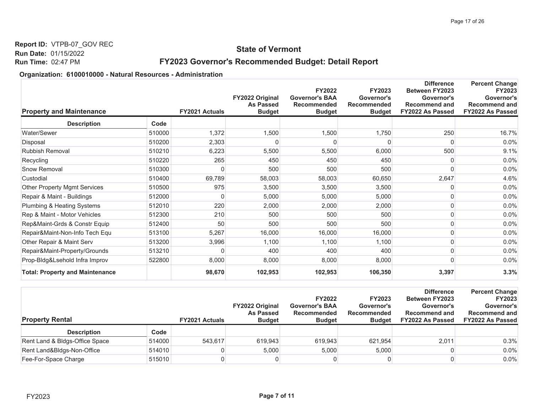## **State of Vermont**

## FY2023 Governor's Recommended Budget: Detail Report

| <b>Property and Maintenance</b>        |        | FY2021 Actuals | FY2022 Original<br><b>As Passed</b><br><b>Budget</b> | <b>FY2022</b><br><b>Governor's BAA</b><br><b>Recommended</b><br><b>Budget</b> | <b>FY2023</b><br>Governor's<br><b>Recommended</b><br><b>Budget</b> | <b>Difference</b><br><b>Between FY2023</b><br>Governor's<br><b>Recommend and</b><br>FY2022 As Passed | <b>Percent Change</b><br><b>FY2023</b><br>Governor's<br><b>Recommend and</b><br>FY2022 As Passed |
|----------------------------------------|--------|----------------|------------------------------------------------------|-------------------------------------------------------------------------------|--------------------------------------------------------------------|------------------------------------------------------------------------------------------------------|--------------------------------------------------------------------------------------------------|
| <b>Description</b>                     | Code   |                |                                                      |                                                                               |                                                                    |                                                                                                      |                                                                                                  |
| Water/Sewer                            | 510000 | 1,372          | 1,500                                                | 1,500                                                                         | 1,750                                                              | 250                                                                                                  | 16.7%                                                                                            |
| Disposal                               | 510200 | 2,303          | $\Omega$                                             |                                                                               | O                                                                  | O                                                                                                    | 0.0%                                                                                             |
| Rubbish Removal                        | 510210 | 6,223          | 5,500                                                | 5,500                                                                         | 6,000                                                              | 500                                                                                                  | 9.1%                                                                                             |
| Recycling                              | 510220 | 265            | 450                                                  | 450                                                                           | 450                                                                | 0                                                                                                    | 0.0%                                                                                             |
| Snow Removal                           | 510300 | 0              | 500                                                  | 500                                                                           | 500                                                                | O                                                                                                    | 0.0%                                                                                             |
| Custodial                              | 510400 | 69,789         | 58,003                                               | 58,003                                                                        | 60,650                                                             | 2,647                                                                                                | 4.6%                                                                                             |
| <b>Other Property Mgmt Services</b>    | 510500 | 975            | 3,500                                                | 3,500                                                                         | 3,500                                                              |                                                                                                      | 0.0%                                                                                             |
| Repair & Maint - Buildings             | 512000 | 0              | 5,000                                                | 5,000                                                                         | 5,000                                                              |                                                                                                      | 0.0%                                                                                             |
| Plumbing & Heating Systems             | 512010 | 220            | 2,000                                                | 2,000                                                                         | 2,000                                                              | O                                                                                                    | 0.0%                                                                                             |
| Rep & Maint - Motor Vehicles           | 512300 | 210            | 500                                                  | 500                                                                           | 500                                                                | O                                                                                                    | 0.0%                                                                                             |
| Rep&Maint-Grds & Constr Equip          | 512400 | 50             | 500                                                  | 500                                                                           | 500                                                                | 0                                                                                                    | 0.0%                                                                                             |
| Repair&Maint-Non-Info Tech Equ         | 513100 | 5,267          | 16,000                                               | 16,000                                                                        | 16,000                                                             |                                                                                                      | 0.0%                                                                                             |
| Other Repair & Maint Serv              | 513200 | 3,996          | 1,100                                                | 1,100                                                                         | 1,100                                                              |                                                                                                      | 0.0%                                                                                             |
| Repair&Maint-Property/Grounds          | 513210 | 0              | 400                                                  | 400                                                                           | 400                                                                | 0                                                                                                    | 0.0%                                                                                             |
| Prop-Bldg&Lsehold Infra Improv         | 522800 | 8,000          | 8,000                                                | 8,000                                                                         | 8,000                                                              | ი                                                                                                    | 0.0%                                                                                             |
| <b>Total: Property and Maintenance</b> |        | 98,670         | 102,953                                              | 102,953                                                                       | 106,350                                                            | 3,397                                                                                                | 3.3%                                                                                             |

| <b>Property Rental</b>         |        | <b>FY2021 Actuals</b> | <b>FY2022 Original</b><br><b>As Passed</b><br><b>Budget</b> | <b>FY2022</b><br><b>Governor's BAA</b><br>Recommended<br><b>Budget</b> | <b>FY2023</b><br>Governor's<br>Recommended<br><b>Budget</b> | <b>Difference</b><br><b>Between FY2023</b><br>Governor's<br><b>Recommend and</b><br>FY2022 As Passed | <b>Percent Change</b><br><b>FY2023</b><br>Governor's<br><b>Recommend and</b><br><b>FY2022 As Passed</b> |
|--------------------------------|--------|-----------------------|-------------------------------------------------------------|------------------------------------------------------------------------|-------------------------------------------------------------|------------------------------------------------------------------------------------------------------|---------------------------------------------------------------------------------------------------------|
| <b>Description</b>             | Code   |                       |                                                             |                                                                        |                                                             |                                                                                                      |                                                                                                         |
| Rent Land & Bldgs-Office Space | 514000 | 543.617               | 619,943                                                     | 619,943                                                                | 621,954                                                     | 2,011                                                                                                | 0.3%                                                                                                    |
| Rent Land&Bldgs-Non-Office     | 514010 |                       | 5,000                                                       | 5,000                                                                  | 5,000                                                       |                                                                                                      | $0.0\%$                                                                                                 |
| Fee-For-Space Charge           | 515010 |                       |                                                             |                                                                        |                                                             |                                                                                                      | $0.0\%$                                                                                                 |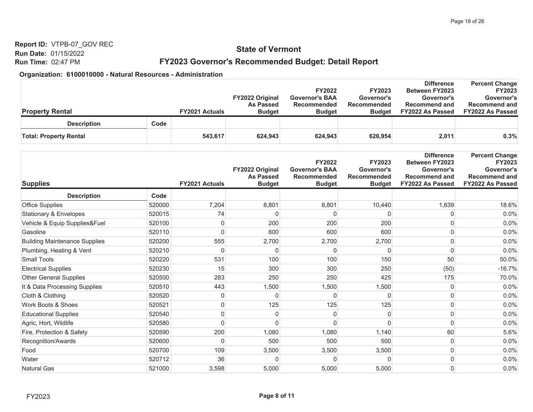## **State of Vermont**

## FY2023 Governor's Recommended Budget: Detail Report

|                               |                       | <b>FY2022 Original</b><br><b>As Passed</b> | <b>FY2022</b><br><b>Governor's BAA</b><br>Recommended | <b>FY2023</b><br>Governor's<br>Recommended | <b>Difference</b><br><b>Between FY2023</b><br>Governor's<br><b>Recommend and</b> | <b>Percent Change</b><br><b>FY2023</b><br>Governor's<br><b>Recommend and</b> |
|-------------------------------|-----------------------|--------------------------------------------|-------------------------------------------------------|--------------------------------------------|----------------------------------------------------------------------------------|------------------------------------------------------------------------------|
| <b>Property Rental</b>        | <b>FY2021 Actuals</b> | <b>Budget</b>                              | <b>Budget</b>                                         | <b>Budget</b>                              | FY2022 As Passed                                                                 | <b>FY2022 As Passed</b>                                                      |
| <b>Description</b>            | Code                  |                                            |                                                       |                                            |                                                                                  |                                                                              |
| <b>Total: Property Rental</b> | 543,617               | 624.943                                    | 624,943                                               | 626,954                                    | 2,011                                                                            | 0.3%                                                                         |

|                                      |        |                | FY2022 Original<br><b>As Passed</b> | <b>FY2022</b><br><b>Governor's BAA</b><br><b>Recommended</b> | <b>FY2023</b><br>Governor's<br><b>Recommended</b> | <b>Difference</b><br>Between FY2023<br>Governor's<br><b>Recommend and</b> | <b>Percent Change</b><br><b>FY2023</b><br>Governor's<br><b>Recommend and</b> |
|--------------------------------------|--------|----------------|-------------------------------------|--------------------------------------------------------------|---------------------------------------------------|---------------------------------------------------------------------------|------------------------------------------------------------------------------|
| <b>Supplies</b>                      |        | FY2021 Actuals | <b>Budget</b>                       | <b>Budget</b>                                                | <b>Budget</b>                                     | FY2022 As Passed                                                          | FY2022 As Passed                                                             |
| <b>Description</b>                   | Code   |                |                                     |                                                              |                                                   |                                                                           |                                                                              |
| <b>Office Supplies</b>               | 520000 | 7,204          | 8,801                               | 8,801                                                        | 10,440                                            | 1,639                                                                     | 18.6%                                                                        |
| <b>Stationary &amp; Envelopes</b>    | 520015 | 74             | n                                   |                                                              |                                                   |                                                                           | 0.0%                                                                         |
| Vehicle & Equip Supplies&Fuel        | 520100 | $\pmb{0}$      | 200                                 | 200                                                          | 200                                               |                                                                           | 0.0%                                                                         |
| Gasoline                             | 520110 | 0              | 600                                 | 600                                                          | 600                                               |                                                                           | 0.0%                                                                         |
| <b>Building Maintenance Supplies</b> | 520200 | 555            | 2,700                               | 2,700                                                        | 2,700                                             |                                                                           | 0.0%                                                                         |
| Plumbing, Heating & Vent             | 520210 | 0              | n                                   |                                                              |                                                   |                                                                           | 0.0%                                                                         |
| <b>Small Tools</b>                   | 520220 | 531            | 100                                 | 100                                                          | 150                                               | 50                                                                        | 50.0%                                                                        |
| <b>Electrical Supplies</b>           | 520230 | 15             | 300                                 | 300                                                          | 250                                               | (50)                                                                      | $-16.7%$                                                                     |
| <b>Other General Supplies</b>        | 520500 | 283            | 250                                 | 250                                                          | 425                                               | 175                                                                       | 70.0%                                                                        |
| It & Data Processing Supplies        | 520510 | 443            | 1,500                               | 1,500                                                        | 1,500                                             |                                                                           | 0.0%                                                                         |
| Cloth & Clothing                     | 520520 | 0              | $\Omega$                            |                                                              | U                                                 |                                                                           | 0.0%                                                                         |
| <b>Work Boots &amp; Shoes</b>        | 520521 | 0              | 125                                 | 125                                                          | 125                                               |                                                                           | 0.0%                                                                         |
| <b>Educational Supplies</b>          | 520540 | $\mathbf 0$    | 0                                   | O                                                            | U                                                 |                                                                           | 0.0%                                                                         |
| Agric, Hort, Wildlife                | 520580 | $\Omega$       | $\cap$                              |                                                              |                                                   |                                                                           | 0.0%                                                                         |
| Fire, Protection & Safety            | 520590 | 200            | 1,080                               | 1,080                                                        | 1,140                                             | 60                                                                        | 5.6%                                                                         |
| Recognition/Awards                   | 520600 | $\mathbf 0$    | 500                                 | 500                                                          | 500                                               |                                                                           | 0.0%                                                                         |
| Food                                 | 520700 | 109            | 3,500                               | 3,500                                                        | 3,500                                             |                                                                           | 0.0%                                                                         |
| Water                                | 520712 | 36             | $\Omega$                            | U                                                            | $\Omega$                                          |                                                                           | 0.0%                                                                         |
| Natural Gas                          | 521000 | 3,598          | 5,000                               | 5,000                                                        | 5,000                                             |                                                                           | 0.0%                                                                         |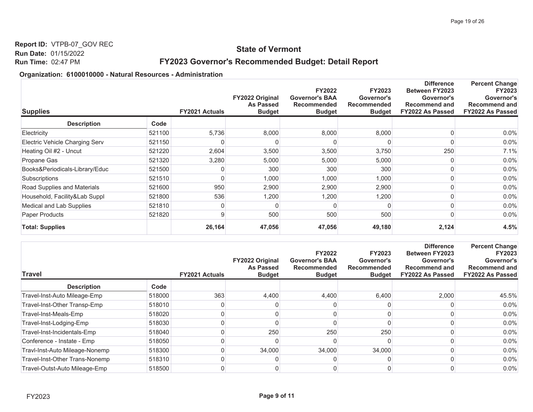## **State of Vermont**

## FY2023 Governor's Recommended Budget: Detail Report

| <b>Supplies</b>                          | <b>FY2021 Actuals</b> | <b>FY2022 Original</b><br><b>As Passed</b><br><b>Budget</b> | <b>FY2022</b><br><b>Governor's BAA</b><br><b>Recommended</b><br><b>Budget</b> | <b>FY2023</b><br>Governor's<br><b>Recommended</b><br><b>Budget</b> | <b>Difference</b><br><b>Between FY2023</b><br>Governor's<br><b>Recommend and</b><br>FY2022 As Passed | <b>Percent Change</b><br><b>FY2023</b><br>Governor's<br><b>Recommend and</b><br>FY2022 As Passed |
|------------------------------------------|-----------------------|-------------------------------------------------------------|-------------------------------------------------------------------------------|--------------------------------------------------------------------|------------------------------------------------------------------------------------------------------|--------------------------------------------------------------------------------------------------|
| <b>Description</b><br>Code               |                       |                                                             |                                                                               |                                                                    |                                                                                                      |                                                                                                  |
| Electricity<br>521100                    | 5,736                 | 8,000                                                       | 8,000                                                                         | 8,000                                                              |                                                                                                      | 0.0%                                                                                             |
| Electric Vehicle Charging Serv<br>521150 | 0                     |                                                             |                                                                               |                                                                    |                                                                                                      | 0.0%                                                                                             |
| Heating Oil #2 - Uncut<br>521220         | 2,604                 | 3,500                                                       | 3,500                                                                         | 3,750                                                              | 250                                                                                                  | 7.1%                                                                                             |
| Propane Gas<br>521320                    | 3,280                 | 5,000                                                       | 5,000                                                                         | 5,000                                                              |                                                                                                      | 0.0%                                                                                             |
| 521500<br>Books&Periodicals-Library/Educ | 0                     | 300                                                         | 300                                                                           | 300                                                                |                                                                                                      | 0.0%                                                                                             |
| 521510<br>Subscriptions                  | 0                     | 1,000                                                       | 1,000                                                                         | 1,000                                                              |                                                                                                      | 0.0%                                                                                             |
| Road Supplies and Materials<br>521600    | 950                   | 2,900                                                       | 2,900                                                                         | 2,900                                                              |                                                                                                      | 0.0%                                                                                             |
| Household, Facility&Lab Suppl<br>521800  | 536                   | 1,200                                                       | 1,200                                                                         | 1,200                                                              |                                                                                                      | 0.0%                                                                                             |
| Medical and Lab Supplies<br>521810       | 0                     |                                                             |                                                                               |                                                                    |                                                                                                      | 0.0%                                                                                             |
| Paper Products<br>521820                 | 9                     | 500                                                         | 500                                                                           | 500                                                                |                                                                                                      | 0.0%                                                                                             |
| <b>Total: Supplies</b>                   | 26,164                | 47,056                                                      | 47,056                                                                        | 49,180                                                             | 2,124                                                                                                | 4.5%                                                                                             |

| <b>Travel</b>                  |        | <b>FY2021 Actuals</b> | FY2022 Original<br><b>As Passed</b><br><b>Budget</b> | <b>FY2022</b><br><b>Governor's BAA</b><br><b>Recommended</b><br><b>Budget</b> | <b>FY2023</b><br>Governor's<br><b>Recommended</b><br><b>Budget</b> | <b>Difference</b><br><b>Between FY2023</b><br>Governor's<br><b>Recommend and</b><br><b>FY2022 As Passed</b> | <b>Percent Change</b><br><b>FY2023</b><br>Governor's<br><b>Recommend and</b><br>FY2022 As Passed |
|--------------------------------|--------|-----------------------|------------------------------------------------------|-------------------------------------------------------------------------------|--------------------------------------------------------------------|-------------------------------------------------------------------------------------------------------------|--------------------------------------------------------------------------------------------------|
| <b>Description</b>             | Code   |                       |                                                      |                                                                               |                                                                    |                                                                                                             |                                                                                                  |
| Travel-Inst-Auto Mileage-Emp   | 518000 | 363                   | 4.400                                                | 4,400                                                                         | 6,400                                                              | 2.000                                                                                                       | 45.5%                                                                                            |
| Travel-Inst-Other Transp-Emp   | 518010 |                       |                                                      |                                                                               |                                                                    |                                                                                                             | $0.0\%$                                                                                          |
| Travel-Inst-Meals-Emp          | 518020 |                       |                                                      |                                                                               |                                                                    |                                                                                                             | $0.0\%$                                                                                          |
| Travel-Inst-Lodging-Emp        | 518030 |                       |                                                      |                                                                               |                                                                    |                                                                                                             | $0.0\%$                                                                                          |
| Travel-Inst-Incidentals-Emp    | 518040 |                       | 250                                                  | 250                                                                           | 250                                                                |                                                                                                             | $0.0\%$                                                                                          |
| Conference - Instate - Emp     | 518050 |                       |                                                      |                                                                               |                                                                    |                                                                                                             | $0.0\%$                                                                                          |
| Travl-Inst-Auto Mileage-Nonemp | 518300 |                       | 34,000                                               | 34,000                                                                        | 34,000                                                             |                                                                                                             | $0.0\%$                                                                                          |
| Travel-Inst-Other Trans-Nonemp | 518310 |                       |                                                      |                                                                               |                                                                    |                                                                                                             | $0.0\%$                                                                                          |
| Travel-Outst-Auto Mileage-Emp  | 518500 |                       |                                                      |                                                                               |                                                                    |                                                                                                             | $0.0\%$                                                                                          |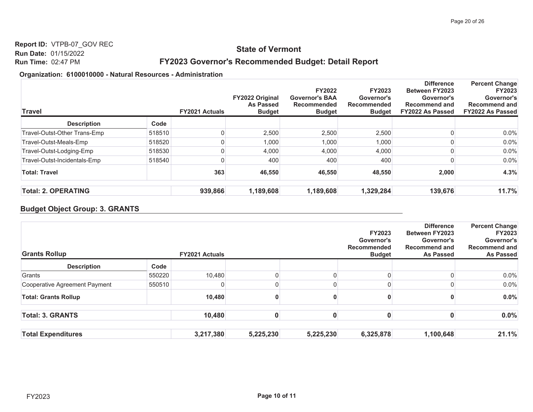#### **State of Vermont**

## FY2023 Governor's Recommended Budget: Detail Report

#### Organization: 6100010000 - Natural Resources - Administration

| Travel                       |        | <b>FY2021 Actuals</b> | <b>FY2022 Original</b><br>As Passed<br><b>Budget</b> | <b>FY2022</b><br><b>Governor's BAA</b><br>Recommended<br><b>Budget</b> | <b>FY2023</b><br>Governor's<br><b>Recommended</b><br><b>Budget</b> | <b>Difference</b><br><b>Between FY2023</b><br>Governor's<br><b>Recommend and</b><br><b>FY2022 As Passed</b> | <b>Percent Change</b><br><b>FY2023</b><br>Governor's<br><b>Recommend and</b><br><b>FY2022 As Passed</b> |
|------------------------------|--------|-----------------------|------------------------------------------------------|------------------------------------------------------------------------|--------------------------------------------------------------------|-------------------------------------------------------------------------------------------------------------|---------------------------------------------------------------------------------------------------------|
| <b>Description</b>           | Code   |                       |                                                      |                                                                        |                                                                    |                                                                                                             |                                                                                                         |
| Travel-Outst-Other Trans-Emp | 518510 | 0                     | 2,500                                                | 2,500                                                                  | 2,500                                                              |                                                                                                             | 0.0%                                                                                                    |
| Travel-Outst-Meals-Emp       | 518520 | 0                     | 1,000                                                | 1,000                                                                  | 1,000                                                              |                                                                                                             | 0.0%                                                                                                    |
| Travel-Outst-Lodging-Emp     | 518530 | 0                     | 4,000                                                | 4,000                                                                  | 4,000                                                              |                                                                                                             | 0.0%                                                                                                    |
| Travel-Outst-Incidentals-Emp | 518540 | 0                     | 400                                                  | 400                                                                    | 400                                                                |                                                                                                             | 0.0%                                                                                                    |
| <b>Total: Travel</b>         |        | 363                   | 46,550                                               | 46,550                                                                 | 48,550                                                             | 2,000                                                                                                       | 4.3%                                                                                                    |
| <b>Total: 2. OPERATING</b>   |        | 939,866               | 1,189,608                                            | 1,189,608                                                              | 1,329,284                                                          | 139,676                                                                                                     | 11.7%                                                                                                   |

#### **Budget Object Group: 3. GRANTS**

| <b>Grants Rollup</b>          |        | <b>FY2021 Actuals</b> |           |           | <b>FY2023</b><br>Governor's<br>Recommended<br><b>Budget</b> | <b>Difference</b><br><b>Between FY2023</b><br>Governor's<br><b>Recommend and</b><br><b>As Passed</b> | <b>Percent Change</b><br><b>FY2023</b><br>Governor's<br><b>Recommend and</b><br><b>As Passed</b> |
|-------------------------------|--------|-----------------------|-----------|-----------|-------------------------------------------------------------|------------------------------------------------------------------------------------------------------|--------------------------------------------------------------------------------------------------|
| <b>Description</b>            | Code   |                       |           |           |                                                             |                                                                                                      |                                                                                                  |
| Grants                        | 550220 | 10,480                |           |           |                                                             |                                                                                                      | $0.0\%$                                                                                          |
| Cooperative Agreement Payment | 550510 |                       |           |           |                                                             |                                                                                                      | 0.0%                                                                                             |
| <b>Total: Grants Rollup</b>   |        | 10,480                | 0         |           |                                                             |                                                                                                      | $0.0\%$                                                                                          |
| <b>Total: 3. GRANTS</b>       |        | 10,480                | 0         |           |                                                             |                                                                                                      | 0.0%                                                                                             |
| <b>Total Expenditures</b>     |        | 3,217,380             | 5,225,230 | 5,225,230 | 6,325,878                                                   | 1,100,648                                                                                            | 21.1%                                                                                            |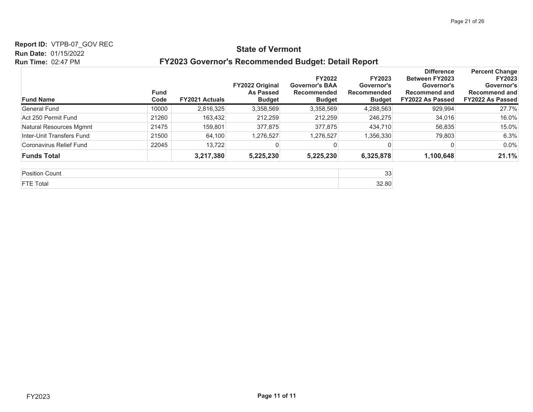#### **Report ID: VTPB-07\_GOV REC**

#### **State of Vermont**

#### **Run Date: 01/15/2022 Run Time: 02:47 PM**

#### FY2023 Governor's Recommended Budget: Detail Report

| <b>Fund Name</b>          | <b>Fund</b><br>Code | <b>FY2021 Actuals</b> | <b>FY2022 Original</b><br><b>As Passed</b><br><b>Budget</b> | <b>FY2022</b><br><b>Governor's BAA</b><br>Recommended<br><b>Budget</b> | <b>FY2023</b><br>Governor's<br>Recommended<br><b>Budget</b> | <b>Difference</b><br><b>Between FY2023</b><br>Governor's<br><b>Recommend and</b><br>FY2022 As Passed | <b>Percent Change</b><br><b>FY2023</b><br>Governor's<br><b>Recommend and</b><br><b>FY2022 As Passed</b> |
|---------------------------|---------------------|-----------------------|-------------------------------------------------------------|------------------------------------------------------------------------|-------------------------------------------------------------|------------------------------------------------------------------------------------------------------|---------------------------------------------------------------------------------------------------------|
| General Fund              | 10000               | 2,816,325             | 3,358,569                                                   | 3,358,569                                                              | 4,288,563                                                   | 929,994                                                                                              | 27.7%                                                                                                   |
| Act 250 Permit Fund       | 21260               | 163,432               | 212,259                                                     | 212,259                                                                | 246,275                                                     | 34,016                                                                                               | 16.0%                                                                                                   |
| Natural Resources Mgmnt   | 21475               | 159,801               | 377,875                                                     | 377,875                                                                | 434,710                                                     | 56,835                                                                                               | 15.0%                                                                                                   |
| Inter-Unit Transfers Fund | 21500               | 64.100                | 1,276,527                                                   | 1,276,527                                                              | 1,356,330                                                   | 79.803                                                                                               | 6.3%                                                                                                    |
| Coronavirus Relief Fund   | 22045               | 13.722                |                                                             |                                                                        |                                                             |                                                                                                      | 0.0%                                                                                                    |
| <b>Funds Total</b>        |                     | 3,217,380             | 5,225,230                                                   | 5,225,230                                                              | 6,325,878                                                   | 1,100,648                                                                                            | 21.1%                                                                                                   |

| -<br>זו ור | $\sim$<br>◡◡ |
|------------|--------------|
|            | .            |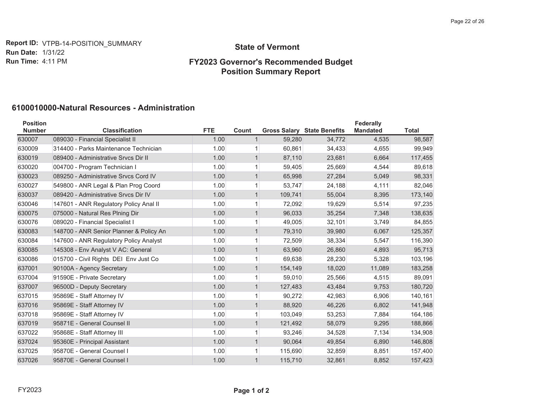**Report ID:** VTPB-14-POSITION\_SUMMARY **Run Date: 1/31/22 Run Time: 4:11 PM** 

#### **State of Vermont**

## **)<\*RYHUQRU V5HFRPPHQGHG%XGJHW Position Summary Report**

## **6100010000-Natural Resources - Administration**

| <b>Position</b><br><b>Number</b> | <b>Classification</b>                   | <b>FTE</b> | Count        |         | <b>Gross Salary State Benefits</b> | Federally<br><b>Mandated</b> | <b>Total</b> |
|----------------------------------|-----------------------------------------|------------|--------------|---------|------------------------------------|------------------------------|--------------|
| 630007                           | 089030 - Financial Specialist II        | 1.00       | $\mathbf{1}$ | 59,280  | 34,772                             | 4,535                        | 98,587       |
| 630009                           | 314400 - Parks Maintenance Technician   | 1.00       | $\mathbf{1}$ | 60,861  | 34,433                             | 4,655                        | 99,949       |
| 630019                           | 089400 - Administrative Srvcs Dir II    | 1.00       | $\mathbf{1}$ | 87,110  | 23,681                             | 6,664                        | 117,455      |
| 630020                           | 004700 - Program Technician I           | 1.00       | $\mathbf{1}$ | 59,405  | 25,669                             | 4,544                        | 89,618       |
| 630023                           | 089250 - Administrative Srvcs Cord IV   | 1.00       | 1            | 65,998  | 27,284                             | 5,049                        | 98,331       |
| 630027                           | 549800 - ANR Legal & Plan Prog Coord    | 1.00       | 1            | 53,747  | 24,188                             | 4,111                        | 82,046       |
| 630037                           | 089420 - Administrative Srvcs Dir IV    | 1.00       | $\mathbf{1}$ | 109,741 | 55,004                             | 8,395                        | 173,140      |
| 630046                           | 147601 - ANR Regulatory Policy Anal II  | 1.00       | $\mathbf{1}$ | 72,092  | 19,629                             | 5,514                        | 97,235       |
| 630075                           | 075000 - Natural Res Plning Dir         | 1.00       | $\mathbf{1}$ | 96,033  | 35,254                             | 7,348                        | 138,635      |
| 630076                           | 089020 - Financial Specialist I         | 1.00       |              | 49,005  | 32,101                             | 3,749                        | 84,855       |
| 630083                           | 148700 - ANR Senior Planner & Policy An | 1.00       | $\mathbf{1}$ | 79,310  | 39,980                             | 6,067                        | 125,357      |
| 630084                           | 147600 - ANR Regulatory Policy Analyst  | 1.00       |              | 72,509  | 38,334                             | 5,547                        | 116,390      |
| 630085                           | 145308 - Env Analyst V AC: General      | 1.00       | $\mathbf{1}$ | 63,960  | 26,860                             | 4,893                        | 95,713       |
| 630086                           | 015700 - Civil Rights DEI Env Just Co   | 1.00       | $\mathbf{1}$ | 69.638  | 28,230                             | 5,328                        | 103,196      |
| 637001                           | 90100A - Agency Secretary               | 1.00       | $\mathbf{1}$ | 154,149 | 18,020                             | 11,089                       | 183,258      |
| 637004                           | 91590E - Private Secretary              | 1.00       | 1            | 59,010  | 25,566                             | 4,515                        | 89,091       |
| 637007                           | 96500D - Deputy Secretary               | 1.00       | $\mathbf{1}$ | 127,483 | 43,484                             | 9,753                        | 180,720      |
| 637015                           | 95869E - Staff Attorney IV              | 1.00       | $\mathbf{1}$ | 90,272  | 42,983                             | 6,906                        | 140,161      |
| 637016                           | 95869E - Staff Attorney IV              | 1.00       | $\mathbf{1}$ | 88,920  | 46,226                             | 6,802                        | 141,948      |
| 637018                           | 95869E - Staff Attorney IV              | 1.00       | $\mathbf{1}$ | 103,049 | 53,253                             | 7,884                        | 164,186      |
| 637019                           | 95871E - General Counsel II             | 1.00       | $\mathbf{1}$ | 121,492 | 58,079                             | 9,295                        | 188,866      |
| 637022                           | 95868E - Staff Attorney III             | 1.00       | 1            | 93,246  | 34,528                             | 7,134                        | 134,908      |
| 637024                           | 95360E - Principal Assistant            | 1.00       | $\mathbf{1}$ | 90,064  | 49,854                             | 6,890                        | 146,808      |
| 637025                           | 95870E - General Counsel I              | 1.00       | 1            | 115,690 | 32,859                             | 8,851                        | 157,400      |
| 637026                           | 95870E - General Counsel I              | 1.00       |              | 115,710 | 32,861                             | 8,852                        | 157,423      |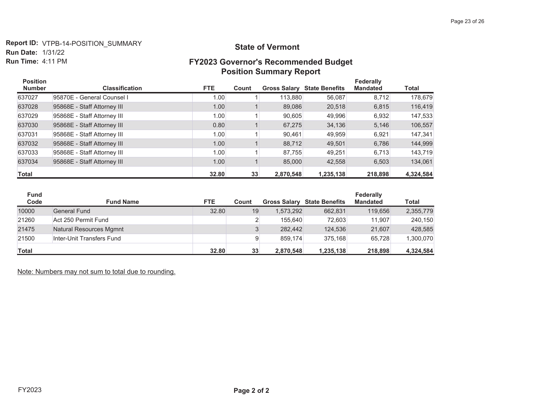**Report ID:** VTPB-14-POSITION\_SUMMARY **Run Date: 1/31/22** Run Time:  $4:11$  PM

#### **State of Vermont**

## **)<\*RYHUQRU V5HFRPPHQGHG%XGJHW Position Summary Report**

| <b>Position</b><br><b>Number</b> | <b>Classification</b>       | <b>FTE</b> | Count |           | <b>Gross Salary State Benefits</b> | <b>Federally</b><br><b>Mandated</b> | Total     |
|----------------------------------|-----------------------------|------------|-------|-----------|------------------------------------|-------------------------------------|-----------|
| 637027                           | 95870E - General Counsel I  | 1.00       |       | 113,880   | 56,087                             | 8,712                               | 178,679   |
| 637028                           | 95868E - Staff Attorney III | 1.00       |       | 89.086    | 20,518                             | 6.815                               | 116,419   |
| 637029                           | 95868E - Staff Attorney III | 1.00       |       | 90,605    | 49,996                             | 6,932                               | 147,533   |
| 637030                           | 95868E - Staff Attorney III | 0.80       |       | 67.275    | 34,136                             | 5,146                               | 106,557   |
| 637031                           | 95868E - Staff Attorney III | 1.00       |       | 90,461    | 49,959                             | 6,921                               | 147,341   |
| 637032                           | 95868E - Staff Attorney III | 1.00       |       | 88,712    | 49,501                             | 6.786                               | 144,999   |
| 637033                           | 95868E - Staff Attorney III | 1.00       |       | 87.755    | 49,251                             | 6,713                               | 143,719   |
| 637034                           | 95868E - Staff Attorney III | 1.00       |       | 85,000    | 42,558                             | 6,503                               | 134,061   |
| <b>Total</b>                     |                             | 32.80      | 33    | 2,870,548 | 1,235,138                          | 218,898                             | 4,324,584 |

| <b>Fund</b>  |                           |            |       |           |                                    | Federally       |              |
|--------------|---------------------------|------------|-------|-----------|------------------------------------|-----------------|--------------|
| Code         | <b>Fund Name</b>          | <b>FTE</b> | Count |           | <b>Gross Salary State Benefits</b> | <b>Mandated</b> | <b>Total</b> |
| 10000        | <b>General Fund</b>       | 32.80      | 19    | 1.573.292 | 662.831                            | 119,656         | 2,355,779    |
| 21260        | Act 250 Permit Fund       |            |       | 155.640   | 72.603                             | 11.907          | 240,150      |
| 21475        | Natural Resources Mgmnt   |            |       | 282.442   | 124.536                            | 21.607          | 428.585      |
| 21500        | Inter-Unit Transfers Fund |            |       | 859.174   | 375.168                            | 65.728          | 1,300,070    |
| <b>Total</b> |                           | 32.80      | 33    | 2.870.548 | 1,235,138                          | 218.898         | 4,324,584    |

Note: Numbers may not sum to total due to rounding.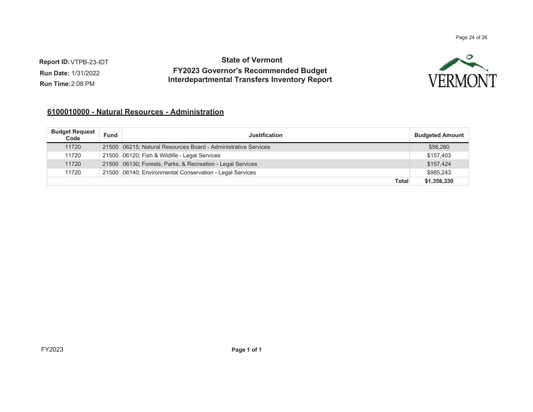Page 24 of 26

**Report ID:** VTPB-23-IDT **Run Date:** 1/31/2022 **Run Time:** 2:08 PM

## **State of Vermont FY2023 Governor's Recommended Budget Interdepartmental Transfers Inventory Report**

![](_page_23_Picture_3.jpeg)

#### <u> 6100010000 - Natural Resources - Administration</u>

| <b>Budget Request</b><br>Code | Fund | <b>Justification</b>                                           | <b>Budgeted Amount</b> |
|-------------------------------|------|----------------------------------------------------------------|------------------------|
| 11720                         |      | 21500 06215; Natural Resources Board - Administrative Services | \$56,260               |
| 11720                         |      | 21500 06120; Fish & Wildlife - Legal Services                  | \$157,403              |
| 11720                         |      | 21500 06130; Forests, Parks, & Recreation - Legal Services     | \$157,424              |
| 11720                         |      | 21500 06140; Environmental Conservation - Legal Services       | \$985,243              |
|                               |      | <b>Total</b>                                                   | \$1,356,330            |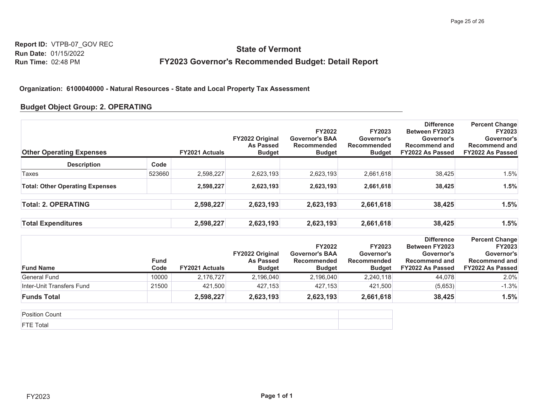# **State of Vermont** FY2023 Governor's Recommended Budget: Detail Report

#### Organization: 6100040000 - Natural Resources - State and Local Property Tax Assessment

#### **Budget Object Group: 2. OPERATING**

| <b>Other Operating Expenses</b>        |                     | <b>FY2021 Actuals</b> | FY2022 Original<br><b>As Passed</b><br><b>Budget</b> | <b>FY2022</b><br><b>Governor's BAA</b><br>Recommended<br><b>Budget</b> | <b>FY2023</b><br>Governor's<br><b>Recommended</b><br><b>Budget</b> | <b>Difference</b><br><b>Between FY2023</b><br>Governor's<br><b>Recommend and</b><br>FY2022 As Passed | <b>Percent Change</b><br>FY2023<br>Governor's<br><b>Recommend and</b><br>FY2022 As Passed        |
|----------------------------------------|---------------------|-----------------------|------------------------------------------------------|------------------------------------------------------------------------|--------------------------------------------------------------------|------------------------------------------------------------------------------------------------------|--------------------------------------------------------------------------------------------------|
| <b>Description</b>                     | Code                |                       |                                                      |                                                                        |                                                                    |                                                                                                      |                                                                                                  |
| Taxes                                  | 523660              | 2,598,227             | 2,623,193                                            | 2,623,193                                                              | 2,661,618                                                          | 38,425                                                                                               | 1.5%                                                                                             |
| <b>Total: Other Operating Expenses</b> |                     | 2,598,227             | 2,623,193                                            | 2,623,193                                                              | 2,661,618                                                          | 38,425                                                                                               | 1.5%                                                                                             |
| <b>Total: 2. OPERATING</b>             |                     | 2,598,227             | 2,623,193                                            | 2,623,193                                                              | 2,661,618                                                          | 38,425                                                                                               | 1.5%                                                                                             |
| <b>Total Expenditures</b>              |                     | 2,598,227             | 2,623,193                                            | 2,623,193                                                              | 2,661,618                                                          | 38,425                                                                                               | 1.5%                                                                                             |
| <b>Fund Name</b>                       | <b>Fund</b><br>Code | <b>FY2021 Actuals</b> | FY2022 Original<br><b>As Passed</b><br><b>Budget</b> | <b>FY2022</b><br><b>Governor's BAA</b><br>Recommended<br><b>Budget</b> | <b>FY2023</b><br>Governor's<br>Recommended<br><b>Budget</b>        | <b>Difference</b><br><b>Between FY2023</b><br>Governor's<br><b>Recommend and</b><br>FY2022 As Passed | <b>Percent Change</b><br><b>FY2023</b><br>Governor's<br><b>Recommend and</b><br>FY2022 As Passed |
| <b>General Fund</b>                    | 10000               | 2,176,727             | 2,196,040                                            | 2,196,040                                                              | 2,240,118                                                          | 44,078                                                                                               | 2.0%                                                                                             |
| Inter-Unit Transfers Fund              | 21500               | 421,500               | 427,153                                              | 427,153                                                                | 421,500                                                            | (5,653)                                                                                              | $-1.3%$                                                                                          |
| <b>Funds Total</b>                     |                     | 2,598,227             | 2,623,193                                            | 2,623,193                                                              | 2,661,618                                                          | 38,425                                                                                               | 1.5%                                                                                             |

| . |  |
|---|--|